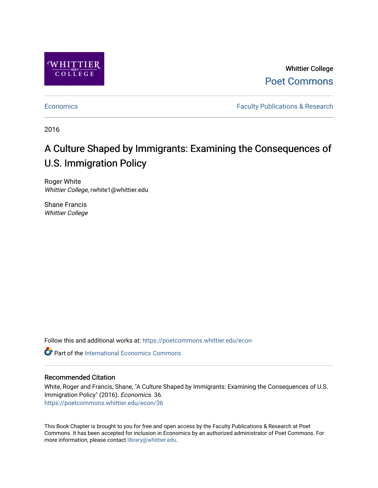

Whittier College [Poet Commons](https://poetcommons.whittier.edu/) 

[Economics](https://poetcommons.whittier.edu/econ) **Faculty Publications & Research** 

2016

# A Culture Shaped by Immigrants: Examining the Consequences of U.S. Immigration Policy

Roger White Whittier College, rwhite1@whittier.edu

Shane Francis Whittier College

Follow this and additional works at: [https://poetcommons.whittier.edu/econ](https://poetcommons.whittier.edu/econ?utm_source=poetcommons.whittier.edu%2Fecon%2F36&utm_medium=PDF&utm_campaign=PDFCoverPages)

**C** Part of the International Economics Commons

### Recommended Citation

White, Roger and Francis, Shane, "A Culture Shaped by Immigrants: Examining the Consequences of U.S. Immigration Policy" (2016). Economics. 36. [https://poetcommons.whittier.edu/econ/36](https://poetcommons.whittier.edu/econ/36?utm_source=poetcommons.whittier.edu%2Fecon%2F36&utm_medium=PDF&utm_campaign=PDFCoverPages) 

This Book Chapter is brought to you for free and open access by the Faculty Publications & Research at Poet Commons. It has been accepted for inclusion in Economics by an authorized administrator of Poet Commons. For more information, please contact [library@whittier.edu.](mailto:library@whittier.edu)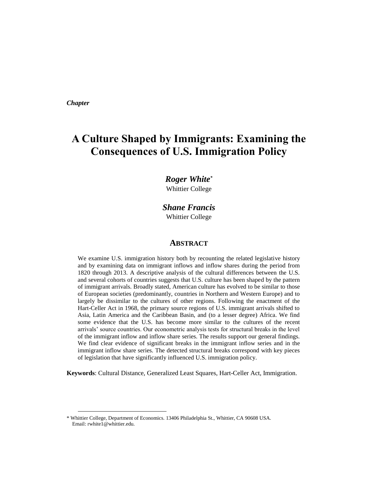*Chapter* 

 $\overline{a}$ 

# **A Culture Shaped by Immigrants: Examining the Consequences of U.S. Immigration Policy**

# *Roger White\**

Whittier College

# *Shane Francis* Whittier College

#### **ABSTRACT**

We examine U.S. immigration history both by recounting the related legislative history and by examining data on immigrant inflows and inflow shares during the period from 1820 through 2013. A descriptive analysis of the cultural differences between the U.S. and several cohorts of countries suggests that U.S. culture has been shaped by the pattern of immigrant arrivals. Broadly stated, American culture has evolved to be similar to those of European societies (predominantly, countries in Northern and Western Europe) and to largely be dissimilar to the cultures of other regions. Following the enactment of the Hart-Celler Act in 1968, the primary source regions of U.S. immigrant arrivals shifted to Asia, Latin America and the Caribbean Basin, and (to a lesser degree) Africa. We find some evidence that the U.S. has become more similar to the cultures of the recent arrivals' source countries. Our econometric analysis tests for structural breaks in the level of the immigrant inflow and inflow share series. The results support our general findings. We find clear evidence of significant breaks in the immigrant inflow series and in the immigrant inflow share series. The detected structural breaks correspond with key pieces of legislation that have significantly influenced U.S. immigration policy.

**Keywords**: Cultural Distance, Generalized Least Squares, Hart-Celler Act, Immigration.

<sup>\*</sup> Whittier College, Department of Economics. 13406 Philadelphia St., Whittier, CA 90608 USA. Email: rwhite1@whittier.edu.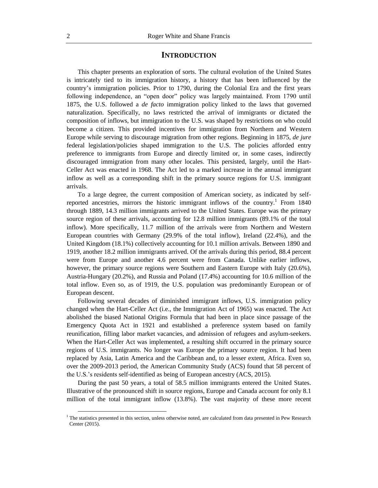#### **INTRODUCTION**

This chapter presents an exploration of sorts. The cultural evolution of the United States is intricately tied to its immigration history, a history that has been influenced by the country's immigration policies. Prior to 1790, during the Colonial Era and the first years following independence, an "open door" policy was largely maintained. From 1790 until 1875, the U.S. followed a *de facto* immigration policy linked to the laws that governed naturalization. Specifically, no laws restricted the arrival of immigrants or dictated the composition of inflows, but immigration to the U.S. was shaped by restrictions on who could become a citizen. This provided incentives for immigration from Northern and Western Europe while serving to discourage migration from other regions. Beginning in 1875, *de jure* federal legislation/policies shaped immigration to the U.S. The policies afforded entry preference to immigrants from Europe and directly limited or, in some cases, indirectly discouraged immigration from many other locales. This persisted, largely, until the Hart-Celler Act was enacted in 1968. The Act led to a marked increase in the annual immigrant inflow as well as a corresponding shift in the primary source regions for U.S. immigrant arrivals.

To a large degree, the current composition of American society, as indicated by selfreported ancestries, mirrors the historic immigrant inflows of the country.<sup>1</sup> From 1840 through 1889, 14.3 million immigrants arrived to the United States. Europe was the primary source region of these arrivals, accounting for 12.8 million immigrants (89.1% of the total inflow). More specifically, 11.7 million of the arrivals were from Northern and Western European countries with Germany (29.9% of the total inflow), Ireland (22.4%), and the United Kingdom (18.1%) collectively accounting for 10.1 million arrivals. Between 1890 and 1919, another 18.2 million immigrants arrived. Of the arrivals during this period, 88.4 percent were from Europe and another 4.6 percent were from Canada. Unlike earlier inflows, however, the primary source regions were Southern and Eastern Europe with Italy (20.6%), Austria-Hungary (20.2%), and Russia and Poland (17.4%) accounting for 10.6 million of the total inflow. Even so, as of 1919, the U.S. population was predominantly European or of European descent.

Following several decades of diminished immigrant inflows, U.S. immigration policy changed when the Hart-Celler Act (i.e., the Immigration Act of 1965) was enacted. The Act abolished the biased National Origins Formula that had been in place since passage of the Emergency Quota Act in 1921 and established a preference system based on family reunification, filling labor market vacancies, and admission of refugees and asylum-seekers. When the Hart-Celler Act was implemented, a resulting shift occurred in the primary source regions of U.S. immigrants. No longer was Europe the primary source region. It had been replaced by Asia, Latin America and the Caribbean and, to a lesser extent, Africa. Even so, over the 2009-2013 period, the American Community Study (ACS) found that 58 percent of the U.S.'s residents self-identified as being of European ancestry (ACS, 2015).

During the past 50 years, a total of 58.5 million immigrants entered the United States. Illustrative of the pronounced shift in source regions, Europe and Canada account for only 8.1 million of the total immigrant inflow (13.8%). The vast majority of these more recent

 $\overline{a}$ 

<sup>&</sup>lt;sup>1</sup> The statistics presented in this section, unless otherwise noted, are calculated from data presented in Pew Research Center (2015).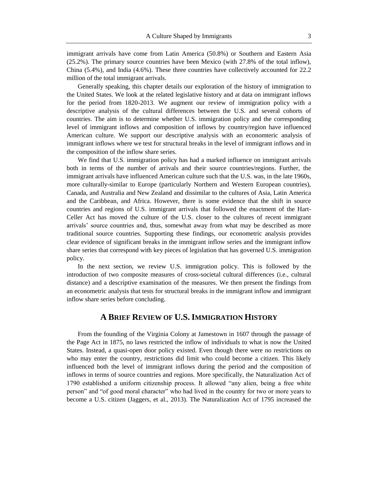immigrant arrivals have come from Latin America (50.8%) or Southern and Eastern Asia (25.2%). The primary source countries have been Mexico (with 27.8% of the total inflow), China (5.4%), and India (4.6%). These three countries have collectively accounted for 22.2 million of the total immigrant arrivals.

Generally speaking, this chapter details our exploration of the history of immigration to the United States. We look at the related legislative history and at data on immigrant inflows for the period from 1820-2013. We augment our review of immigration policy with a descriptive analysis of the cultural differences between the U.S. and several cohorts of countries. The aim is to determine whether U.S. immigration policy and the corresponding level of immigrant inflows and composition of inflows by country/region have influenced American culture. We support our descriptive analysis with an economteric analysis of immigrant inflows where we test for structural breaks in the level of immigrant inflows and in the composition of the inflow share series.

We find that U.S. immigration policy has had a marked influence on immigrant arrivals both in terms of the number of arrivals and their source countries/regions. Further, the immigrant arrivals have influenced American culture such that the U.S. was, in the late 1960s, more culturally-similar to Europe (particularly Northern and Western European countries), Canada, and Australia and New Zealand and dissimilar to the cultures of Asia, Latin America and the Caribbean, and Africa. However, there is some evidence that the shift in source countries and regions of U.S. immigrant arrivals that followed the enactment of the Hart-Celler Act has moved the culture of the U.S. closer to the cultures of recent immigrant arrivals' source countries and, thus, somewhat away from what may be described as more traditional source countries. Supporting these findings, our econometric analysis provides clear evidence of significant breaks in the immigrant inflow series and the immigrant inflow share series that correspond with key pieces of legislation that has governed U.S. immigration policy.

In the next section, we review U.S. immigration policy. This is followed by the introduction of two composite measures of cross-societal cultural differences (i.e., cultural distance) and a descriptive examination of the measures. We then present the findings from an econometric analysis that tests for structural breaks in the immigrant inflow and immigrant inflow share series before concluding.

# **A BRIEF REVIEW OF U.S.IMMIGRATION HISTORY**

From the founding of the Virginia Colony at Jamestown in 1607 through the passage of the Page Act in 1875, no laws restricted the inflow of individuals to what is now the United States. Instead, a quasi-open door policy existed. Even though there were no restrictions on who may enter the country, restrictions did limit who could become a citizen. This likely influenced both the level of immigrant inflows during the period and the composition of inflows in terms of source countries and regions. More specifically, the Naturalization Act of 1790 established a uniform citizenship process. It allowed "any alien, being a free white person" and "of good moral character" who had lived in the country for two or more years to become a U.S. citizen (Jaggers, et al., 2013). The Naturalization Act of 1795 increased the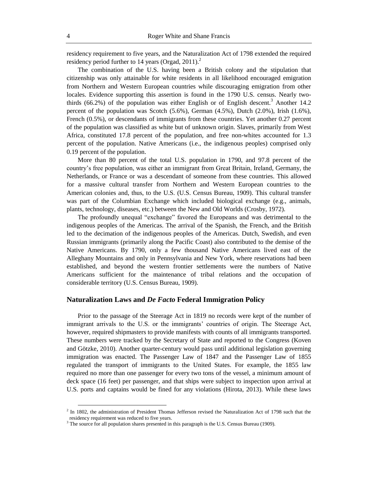residency requirement to five years, and the Naturalization Act of 1798 extended the required residency period further to 14 years (Orgad, 2011).<sup>2</sup>

The combination of the U.S. having been a British colony and the stipulation that citizenship was only attainable for white residents in all likelihood encouraged emigration from Northern and Western European countries while discouraging emigration from other locales. Evidence supporting this assertion is found in the 1790 U.S. census. Nearly twothirds  $(66.2%)$  of the population was either English or of English descent.<sup>3</sup> Another 14.2 percent of the population was Scotch  $(5.6\%)$ , German  $(4.5\%)$ , Dutch  $(2.0\%)$ , Irish  $(1.6\%)$ , French (0.5%), or descendants of immigrants from these countries. Yet another 0.27 percent of the population was classified as white but of unknown origin. Slaves, primarily from West Africa, constituted 17.8 percent of the population, and free non-whites accounted for 1.3 percent of the population. Native Americans (i.e., the indigenous peoples) comprised only 0.19 percent of the population.

More than 80 percent of the total U.S. population in 1790, and 97.8 percent of the country's free population, was either an immigrant from Great Britain, Ireland, Germany, the Netherlands, or France or was a descendant of someone from these countries. This allowed for a massive cultural transfer from Northern and Western European countries to the American colonies and, thus, to the U.S. (U.S. Census Bureau, 1909). This cultural transfer was part of the Columbian Exchange which included biological exchange (e.g., animals, plants, technology, diseases, etc.) between the New and Old Worlds (Crosby, 1972).

The profoundly unequal "exchange" favored the Europeans and was detrimental to the indigenous peoples of the Americas. The arrival of the Spanish, the French, and the British led to the decimation of the indigenous peoples of the Americas. Dutch, Swedish, and even Russian immigrants (primarily along the Pacific Coast) also contributed to the demise of the Native Americans. By 1790, only a few thousand Native Americans lived east of the Alleghany Mountains and only in Pennsylvania and New York, where reservations had been established, and beyond the western frontier settlements were the numbers of Native Americans sufficient for the maintenance of tribal relations and the occupation of considerable territory (U.S. Census Bureau, 1909).

#### **Naturalization Laws and** *De Facto* **Federal Immigration Policy**

Prior to the passage of the Steerage Act in 1819 no records were kept of the number of immigrant arrivals to the U.S. or the immigrants' countries of origin. The Steerage Act, however, required shipmasters to provide manifests with counts of all immigrants transported. These numbers were tracked by the Secretary of State and reported to the Congress (Koven and Götzke, 2010). Another quarter-century would pass until additional legislation governing immigration was enacted. The Passenger Law of 1847 and the Passenger Law of 1855 regulated the transport of immigrants to the United States. For example, the 1855 law required no more than one passenger for every two tons of the vessel, a minimum amount of deck space (16 feet) per passenger, and that ships were subject to inspection upon arrival at U.S. ports and captains would be fined for any violations (Hirota, 2013). While these laws

 $^2$  In 1802, the administration of President Thomas Jefferson revised the Naturalization Act of 1798 such that the residency requirement was reduced to five years.

 $3$  The source for all population shares presented in this paragraph is the U.S. Census Bureau (1909).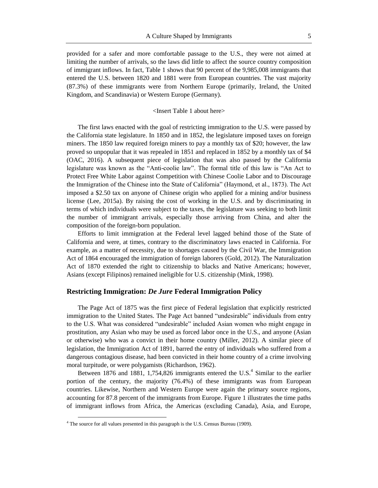provided for a safer and more comfortable passage to the U.S., they were not aimed at limiting the number of arrivals, so the laws did little to affect the source country composition of immigrant inflows. In fact, Table 1 shows that 90 percent of the 9,985,008 immigrants that entered the U.S. between 1820 and 1881 were from European countries. The vast majority (87.3%) of these immigrants were from Northern Europe (primarily, Ireland, the United Kingdom, and Scandinavia) or Western Europe (Germany).

#### <Insert Table 1 about here>

The first laws enacted with the goal of restricting immigration to the U.S. were passed by the California state legislature. In 1850 and in 1852, the legislature imposed taxes on foreign miners. The 1850 law required foreign miners to pay a monthly tax of \$20; however, the law proved so unpopular that it was repealed in 1851 and replaced in 1852 by a monthly tax of \$4 (OAC, 2016). A subsequent piece of legislation that was also passed by the California legislature was known as the "Anti-coolie law". The formal title of this law is "An Act to Protect Free White Labor against Competition with Chinese Coolie Labor and to Discourage the Immigration of the Chinese into the State of California" (Haymond, et al., 1873). The Act imposed a \$2.50 tax on anyone of Chinese origin who applied for a mining and/or business license (Lee, 2015a). By raising the cost of working in the U.S. and by discriminating in terms of which individuals were subject to the taxes, the legislature was seeking to both limit the number of immigrant arrivals, especially those arriving from China, and alter the composition of the foreign-born population.

Efforts to limit immigration at the Federal level lagged behind those of the State of California and were, at times, contrary to the discriminatory laws enacted in California. For example, as a matter of necessity, due to shortages caused by the Civil War, the Immigration Act of 1864 encouraged the immigration of foreign laborers (Gold, 2012). The Naturalization Act of 1870 extended the right to citizenship to blacks and Native Americans; however, Asians (except Filipinos) remained ineligible for U.S. citizenship (Mink, 1998).

### **Restricting Immigration:** *De Jure* **Federal Immigration Policy**

The Page Act of 1875 was the first piece of Federal legislation that explicitly restricted immigration to the United States. The Page Act banned "undesirable" individuals from entry to the U.S. What was considered "undesirable" included Asian women who might engage in prostitution, any Asian who may be used as forced labor once in the U.S., and anyone (Asian or otherwise) who was a convict in their home country (Miller, 2012). A similar piece of legislation, the Immigration Act of 1891, barred the entry of individuals who suffered from a dangerous contagious disease, had been convicted in their home country of a crime involving moral turpitude, or were polygamists (Richardson, 1962).

Between 1876 and 1881, 1,754,826 immigrants entered the U.S.<sup>4</sup> Similar to the earlier portion of the century, the majority (76.4%) of these immigrants was from European countries. Likewise, Northern and Western Europe were again the primary source regions, accounting for 87.8 percent of the immigrants from Europe. Figure 1 illustrates the time paths of immigrant inflows from Africa, the Americas (excluding Canada), Asia, and Europe,

 $\overline{a}$ 

 $4$  The source for all values presented in this paragraph is the U.S. Census Bureau (1909).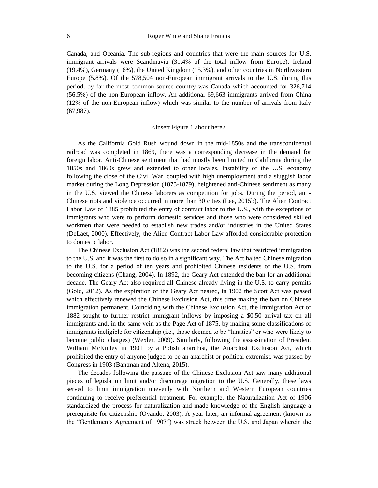Canada, and Oceania. The sub-regions and countries that were the main sources for U.S. immigrant arrivals were Scandinavia (31.4% of the total inflow from Europe), Ireland (19.4%), Germany (16%), the United Kingdom (15.3%), and other countries in Northwestern Europe (5.8%). Of the 578,504 non-European immigrant arrivals to the U.S. during this period, by far the most common source country was Canada which accounted for 326,714 (56.5%) of the non-European inflow. An additional 69,663 immigrants arrived from China (12% of the non-European inflow) which was similar to the number of arrivals from Italy (67,987).

#### <Insert Figure 1 about here>

As the California Gold Rush wound down in the mid-1850s and the transcontinental railroad was completed in 1869, there was a corresponding decrease in the demand for foreign labor. Anti-Chinese sentiment that had mostly been limited to California during the 1850s and 1860s grew and extended to other locales. Instability of the U.S. economy following the close of the Civil War, coupled with high unemployment and a sluggish labor market during the Long Depression (1873-1879), heightened anti-Chinese sentiment as many in the U.S. viewed the Chinese laborers as competition for jobs. During the period, anti-Chinese riots and violence occurred in more than 30 cities (Lee, 2015b). The Alien Contract Labor Law of 1885 prohibited the entry of contract labor to the U.S., with the exceptions of immigrants who were to perform domestic services and those who were considered skilled workmen that were needed to establish new trades and/or industries in the United States (DeLaet, 2000). Effectively, the Alien Contract Labor Law afforded considerable protection to domestic labor.

The Chinese Exclusion Act (1882) was the second federal law that restricted immigration to the U.S. and it was the first to do so in a significant way. The Act halted Chinese migration to the U.S. for a period of ten years and prohibited Chinese residents of the U.S. from becoming citizens (Chang, 2004). In 1892, the Geary Act extended the ban for an additional decade. The Geary Act also required all Chinese already living in the U.S. to carry permits (Gold, 2012). As the expiration of the Geary Act neared, in 1902 the Scott Act was passed which effectively renewed the Chinese Exclusion Act, this time making the ban on Chinese immigration permanent. Coinciding with the Chinese Exclusion Act, the Immigration Act of 1882 sought to further restrict immigrant inflows by imposing a \$0.50 arrival tax on all immigrants and, in the same vein as the Page Act of 1875, by making some classifications of immigrants ineligible for citizenship (i.e., those deemed to be "lunatics" or who were likely to become public charges) (Wexler, 2009). Similarly, following the assassination of President William McKinley in 1901 by a Polish anarchist, the Anarchist Exclusion Act, which prohibited the entry of anyone judged to be an anarchist or political extremist, was passed by Congress in 1903 (Bantman and Altena, 2015).

The decades following the passage of the Chinese Exclusion Act saw many additional pieces of legislation limit and/or discourage migration to the U.S. Generally, these laws served to limit immigration unevenly with Northern and Western European countries continuing to receive preferential treatment. For example, the Naturalization Act of 1906 standardized the process for naturalization and made knowledge of the English language a prerequisite for citizenship (Ovando, 2003). A year later, an informal agreement (known as the "Gentlemen's Agreement of 1907") was struck between the U.S. and Japan wherein the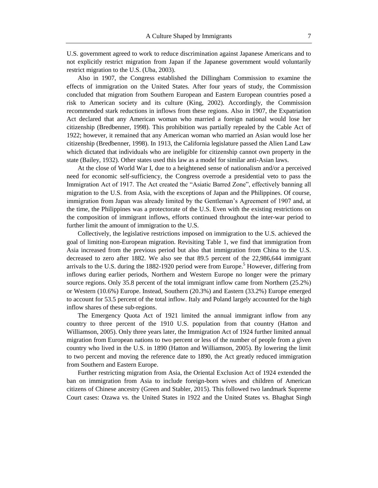U.S. government agreed to work to reduce discrimination against Japanese Americans and to not explicitly restrict migration from Japan if the Japanese government would voluntarily restrict migration to the U.S. (Uba, 2003).

Also in 1907, the Congress established the Dillingham Commission to examine the effects of immigration on the United States. After four years of study, the Commission concluded that migration from Southern European and Eastern European countries posed a risk to American society and its culture (King, 2002). Accordingly, the Commission recommended stark reductions in inflows from these regions. Also in 1907, the Expatriation Act declared that any American woman who married a foreign national would lose her citizenship (Bredbenner, 1998). This prohibition was partially repealed by the Cable Act of 1922; however, it remained that any American woman who married an Asian would lose her citizenship (Bredbenner, 1998). In 1913, the California legislature passed the Alien Land Law which dictated that individuals who are ineligible for citizenship cannot own property in the state (Bailey, 1932). Other states used this law as a model for similar anti-Asian laws.

At the close of World War I, due to a heightened sense of nationalism and/or a perceived need for economic self-sufficiency, the Congress overrode a presidential veto to pass the Immigration Act of 1917. The Act created the "Asiatic Barred Zone", effectively banning all migration to the U.S. from Asia, with the exceptions of Japan and the Philippines. Of course, immigration from Japan was already limited by the Gentleman's Agreement of 1907 and, at the time, the Philippines was a protectorate of the U.S. Even with the existing restrictions on the composition of immigrant inflows, efforts continued throughout the inter-war period to further limit the amount of immigration to the U.S.

Collectively, the legislative restrictions imposed on immigration to the U.S. achieved the goal of limiting non-European migration. Revisiting Table 1, we find that immigration from Asia increased from the previous period but also that immigration from China to the U.S. decreased to zero after 1882. We also see that 89.5 percent of the 22,986,644 immigrant arrivals to the U.S. during the  $1882-1920$  period were from Europe.<sup>5</sup> However, differing from inflows during earlier periods, Northern and Western Europe no longer were the primary source regions. Only 35.8 percent of the total immigrant inflow came from Northern (25.2%) or Western (10.6%) Europe. Instead, Southern (20.3%) and Eastern (33.2%) Europe emerged to account for 53.5 percent of the total inflow. Italy and Poland largely accounted for the high inflow shares of these sub-regions.

The Emergency Quota Act of 1921 limited the annual immigrant inflow from any country to three percent of the 1910 U.S. population from that country (Hatton and Williamson, 2005). Only three years later, the Immigration Act of 1924 further limited annual migration from European nations to two percent or less of the number of people from a given country who lived in the U.S. in 1890 (Hatton and Williamson, 2005). By lowering the limit to two percent and moving the reference date to 1890, the Act greatly reduced immigration from Southern and Eastern Europe.

Further restricting migration from Asia, the Oriental Exclusion Act of 1924 extended the ban on immigration from Asia to include foreign-born wives and children of American citizens of Chinese ancestry (Green and Stabler, 2015). This followed two landmark Supreme Court cases: Ozawa vs. the United States in 1922 and the United States vs. Bhaghat Singh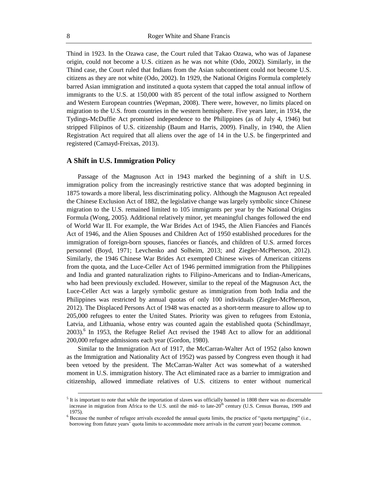Thind in 1923. In the Ozawa case, the Court ruled that Takao Ozawa, who was of Japanese origin, could not become a U.S. citizen as he was not white (Odo, 2002). Similarly, in the Thind case, the Court ruled that Indians from the Asian subcontinent could not become U.S. citizens as they are not white (Odo, 2002). In 1929, the National Origins Formula completely barred Asian immigration and instituted a quota system that capped the total annual inflow of immigrants to the U.S. at 150,000 with 85 percent of the total inflow assigned to Northern and Western European countries (Wepman, 2008). There were, however, no limits placed on migration to the U.S. from countries in the western hemisphere. Five years later, in 1934, the Tydings-McDuffie Act promised independence to the Philippines (as of July 4, 1946) but stripped Filipinos of U.S. citizenship (Baum and Harris, 2009). Finally, in 1940, the Alien Registration Act required that all aliens over the age of 14 in the U.S. be fingerprinted and registered (Camayd-Freixas, 2013).

#### **A Shift in U.S. Immigration Policy**

Passage of the Magnuson Act in 1943 marked the beginning of a shift in U.S. immigration policy from the increasingly restrictive stance that was adopted beginning in 1875 towards a more liberal, less discriminating policy. Although the Magnuson Act repealed the Chinese Exclusion Act of 1882, the legislative change was largely symbolic since Chinese migration to the U.S. remained limited to 105 immigrants per year by the National Origins Formula (Wong, 2005). Additional relatively minor, yet meaningful changes followed the end of World War II. For example, the War Brides Act of 1945, the Alien Fiancées and Fiancés Act of 1946, and the Alien Spouses and Children Act of 1950 established procedures for the immigration of foreign-born spouses, fiancées or fiancés, and children of U.S. armed forces personnel (Boyd, 1971; Levchenko and Solheim, 2013; and Ziegler-McPherson, 2012). Similarly, the 1946 Chinese War Brides Act exempted Chinese wives of American citizens from the quota, and the Luce-Celler Act of 1946 permitted immigration from the Philippines and India and granted naturalization rights to Filipino-Americans and to Indian-Americans, who had been previously excluded. However, similar to the repeal of the Magnuson Act, the Luce-Celler Act was a largely symbolic gesture as immigration from both India and the Philippines was restricted by annual quotas of only 100 individuals (Ziegler-McPherson, 2012). The Displaced Persons Act of 1948 was enacted as a short-term measure to allow up to 205,000 refugees to enter the United States. Priority was given to refugees from Estonia, Latvia, and Lithuania, whose entry was counted again the established quota (Schindlmayr, 2003).<sup>6</sup> In 1953, the Refugee Relief Act revised the 1948 Act to allow for an additional 200,000 refugee admissions each year (Gordon, 1980).

Similar to the Immigration Act of 1917, the McCarran-Walter Act of 1952 (also known as the Immigration and Nationality Act of 1952) was passed by Congress even though it had been vetoed by the president. The McCarran-Walter Act was somewhat of a watershed moment in U.S. immigration history. The Act eliminated race as a barrier to immigration and citizenship, allowed immediate relatives of U.S. citizens to enter without numerical

 $<sup>5</sup>$  It is important to note that while the importation of slaves was officially banned in 1808 there was no discernable</sup> increase in migration from Africa to the U.S. until the mid- to late-20<sup>th</sup> century (U.S. Census Bureau, 1909 and 1975).

 $6$  Because the number of refugee arrivals exceeded the annual quota limits, the practice of "quota mortgaging" (i.e., borrowing from future years' quota limits to accommodate more arrivals in the current year) became common.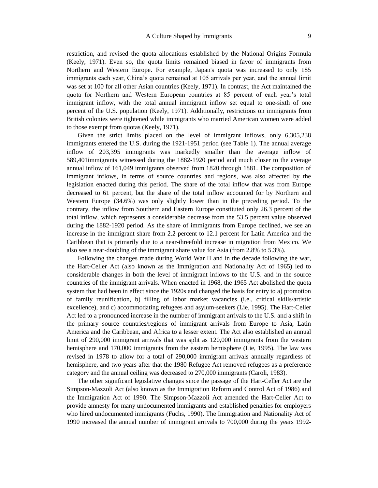restriction, and revised the quota allocations established by the National Origins Formula (Keely, 1971). Even so, the quota limits remained biased in favor of immigrants from Northern and Western Europe. For example, Japan's quota was increased to only 185 immigrants each year, China's quota remained at 105 arrivals per year, and the annual limit was set at 100 for all other Asian countries (Keely, 1971). In contrast, the Act maintained the quota for Northern and Western European countries at 85 percent of each year's total immigrant inflow, with the total annual immigrant inflow set equal to one-sixth of one percent of the U.S. population (Keely, 1971). Additionally, restrictions on immigrants from British colonies were tightened while immigrants who married American women were added to those exempt from quotas (Keely, 1971).

Given the strict limits placed on the level of immigrant inflows, only 6,305,238 immigrants entered the U.S. during the 1921-1951 period (see Table 1). The annual average inflow of 203,395 immigrants was markedly smaller than the average inflow of 589,401immigrants witnessed during the 1882-1920 period and much closer to the average annual inflow of 161,049 immigrants observed from 1820 through 1881. The composition of immigrant inflows, in terms of source countries and regions, was also affected by the legislation enacted during this period. The share of the total inflow that was from Europe decreased to 61 percent, but the share of the total inflow accounted for by Northern and Western Europe (34.6%) was only slightly lower than in the preceding period. To the contrary, the inflow from Southern and Eastern Europe constituted only 26.3 percent of the total inflow, which represents a considerable decrease from the 53.5 percent value observed during the 1882-1920 period. As the share of immigrants from Europe declined, we see an increase in the immigrant share from 2.2 percent to 12.1 percent for Latin America and the Caribbean that is primarily due to a near-threefold increase in migration from Mexico. We also see a near-doubling of the immigrant share value for Asia (from 2.8% to 5.3%).

Following the changes made during World War II and in the decade following the war, the Hart-Celler Act (also known as the Immigration and Nationality Act of 1965) led to considerable changes in both the level of immigrant inflows to the U.S. and in the source countries of the immigrant arrivals. When enacted in 1968, the 1965 Act abolished the quota system that had been in effect since the 1920s and changed the basis for entry to a) promotion of family reunification, b) filling of labor market vacancies (i.e., critical skills/artistic excellence), and c) accommodating refugees and asylum-seekers (Lie, 1995). The Hart-Celler Act led to a pronounced increase in the number of immigrant arrivals to the U.S. and a shift in the primary source countries/regions of immigrant arrivals from Europe to Asia, Latin America and the Caribbean, and Africa to a lesser extent. The Act also established an annual limit of 290,000 immigrant arrivals that was split as 120,000 immigrants from the western hemisphere and 170,000 immigrants from the eastern hemisphere (Lie, 1995). The law was revised in 1978 to allow for a total of 290,000 immigrant arrivals annually regardless of hemisphere, and two years after that the 1980 Refugee Act removed refugees as a preference category and the annual ceiling was decreased to 270,000 immigrants (Caroli, 1983).

The other significant legislative changes since the passage of the Hart-Celler Act are the Simpson-Mazzoli Act (also known as the Immigration Reform and Control Act of 1986) and the Immigration Act of 1990. The Simpson-Mazzoli Act amended the Hart-Celler Act to provide amnesty for many undocumented immigrants and established penalties for employers who hired undocumented immigrants (Fuchs, 1990). The Immigration and Nationality Act of 1990 increased the annual number of immigrant arrivals to 700,000 during the years 1992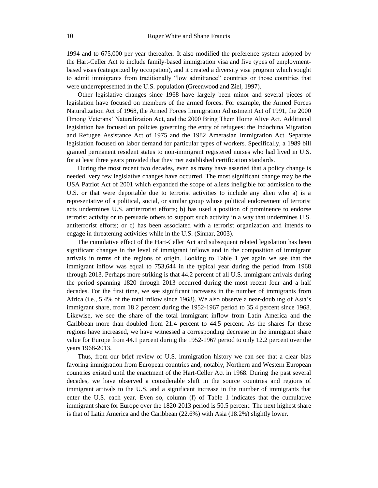1994 and to 675,000 per year thereafter. It also modified the preference system adopted by the Hart-Celler Act to include family-based immigration visa and five types of employmentbased visas (categorized by occupation), and it created a diversity visa program which sought to admit immigrants from traditionally "low admittance" countries or those countries that were underrepresented in the U.S. population (Greenwood and Ziel, 1997).

Other legislative changes since 1968 have largely been minor and several pieces of legislation have focused on members of the armed forces. For example, the Armed Forces Naturalization Act of 1968, the Armed Forces Immigration Adjustment Act of 1991, the 2000 Hmong Veterans' Naturalization Act, and the 2000 Bring Them Home Alive Act. Additional legislation has focused on policies governing the entry of refugees: the Indochina Migration and Refugee Assistance Act of 1975 and the 1982 Amerasian Immigration Act. Separate legislation focused on labor demand for particular types of workers. Specifically, a 1989 bill granted permanent resident status to non-immigrant registered nurses who had lived in U.S. for at least three years provided that they met established certification standards.

During the most recent two decades, even as many have asserted that a policy change is needed, very few legislative changes have occurred. The most significant change may be the USA Patriot Act of 2001 which expanded the scope of aliens ineligible for admission to the U.S. or that were deportable due to terrorist activities to include any alien who a) is a representative of a political, social, or similar group whose political endorsement of terrorist acts undermines U.S. antiterrorist efforts; b) has used a position of prominence to endorse terrorist activity or to persuade others to support such activity in a way that undermines U.S. antiterrorist efforts; or c) has been associated with a terrorist organization and intends to engage in threatening activities while in the U.S. (Sinnar, 2003).

The cumulative effect of the Hart-Celler Act and subsequent related legislation has been significant changes in the level of immigrant inflows and in the composition of immigrant arrivals in terms of the regions of origin. Looking to Table 1 yet again we see that the immigrant inflow was equal to 753,644 in the typical year during the period from 1968 through 2013. Perhaps more striking is that 44.2 percent of all U.S. immigrant arrivals during the period spanning 1820 through 2013 occurred during the most recent four and a half decades. For the first time, we see significant increases in the number of immigrants from Africa (i.e., 5.4% of the total inflow since 1968). We also observe a near-doubling of Asia's immigrant share, from 18.2 percent during the 1952-1967 period to 35.4 percent since 1968. Likewise, we see the share of the total immigrant inflow from Latin America and the Caribbean more than doubled from 21.4 percent to 44.5 percent. As the shares for these regions have increased, we have witnessed a corresponding decrease in the immigrant share value for Europe from 44.1 percent during the 1952-1967 period to only 12.2 percent over the years 1968-2013.

Thus, from our brief review of U.S. immigration history we can see that a clear bias favoring immigration from European countries and, notably, Northern and Western European countries existed until the enactment of the Hart-Celler Act in 1968. During the past several decades, we have observed a considerable shift in the source countries and regions of immigrant arrivals to the U.S. and a significant increase in the number of immigrants that enter the U.S. each year. Even so, column (f) of Table 1 indicates that the cumulative immigrant share for Europe over the 1820-2013 period is 50.5 percent. The next highest share is that of Latin America and the Caribbean (22.6%) with Asia (18.2%) slightly lower.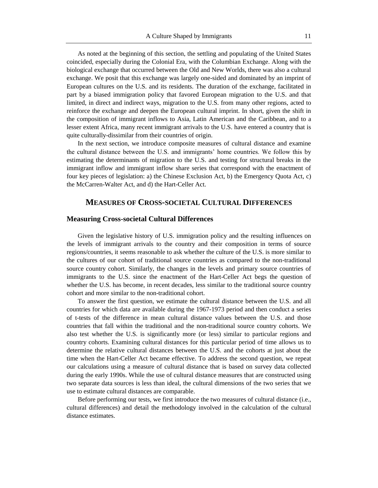As noted at the beginning of this section, the settling and populating of the United States coincided, especially during the Colonial Era, with the Columbian Exchange. Along with the biological exchange that occurred between the Old and New Worlds, there was also a cultural exchange. We posit that this exchange was largely one-sided and dominated by an imprint of European cultures on the U.S. and its residents. The duration of the exchange, facilitated in part by a biased immigration policy that favored European migration to the U.S. and that limited, in direct and indirect ways, migration to the U.S. from many other regions, acted to reinforce the exchange and deepen the European cultural imprint. In short, given the shift in the composition of immigrant inflows to Asia, Latin American and the Caribbean, and to a lesser extent Africa, many recent immigrant arrivals to the U.S. have entered a country that is quite culturally-dissimilar from their countries of origin.

In the next section, we introduce composite measures of cultural distance and examine the cultural distance between the U.S. and immigrants' home countries. We follow this by estimating the determinants of migration to the U.S. and testing for structural breaks in the immigrant inflow and immigrant inflow share series that correspond with the enactment of four key pieces of legislation: a) the Chinese Exclusion Act, b) the Emergency Quota Act, c) the McCarren-Walter Act, and d) the Hart-Celler Act.

### **MEASURES OF CROSS-SOCIETAL CULTURAL DIFFERENCES**

#### **Measuring Cross-societal Cultural Differences**

Given the legislative history of U.S. immigration policy and the resulting influences on the levels of immigrant arrivals to the country and their composition in terms of source regions/countries, it seems reasonable to ask whether the culture of the U.S. is more similar to the cultures of our cohort of traditional source countries as compared to the non-traditional source country cohort. Similarly, the changes in the levels and primary source countries of immigrants to the U.S. since the enactment of the Hart-Celler Act begs the question of whether the U.S. has become, in recent decades, less similar to the traditional source country cohort and more similar to the non-traditional cohort.

To answer the first question, we estimate the cultural distance between the U.S. and all countries for which data are available during the 1967-1973 period and then conduct a series of t-tests of the difference in mean cultural distance values between the U.S. and those countries that fall within the traditional and the non-traditional source country cohorts. We also test whether the U.S. is significantly more (or less) similar to particular regions and country cohorts. Examining cultural distances for this particular period of time allows us to determine the relative cultural distances between the U.S. and the cohorts at just about the time when the Hart-Celler Act became effective. To address the second question, we repeat our calculations using a measure of cultural distance that is based on survey data collected during the early 1990s. While the use of cultural distance measures that are constructed using two separate data sources is less than ideal, the cultural dimensions of the two series that we use to estimate cultural distances are comparable.

Before performing our tests, we first introduce the two measures of cultural distance (i.e., cultural differences) and detail the methodology involved in the calculation of the cultural distance estimates.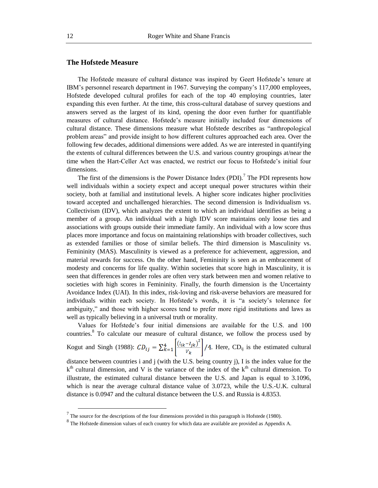#### **The Hofstede Measure**

The Hofstede measure of cultural distance was inspired by Geert Hofstede's tenure at IBM's personnel research department in 1967. Surveying the company's 117,000 employees, Hofstede developed cultural profiles for each of the top 40 employing countries, later expanding this even further. At the time, this cross-cultural database of survey questions and answers served as the largest of its kind, opening the door even further for quantifiable measures of cultural distance. Hofstede's measure initially included four dimensions of cultural distance. These dimensions measure what Hofstede describes as "anthropological problem areas" and provide insight to how different cultures approached each area. Over the following few decades, additional dimensions were added. As we are interested in quantifying the extents of cultural differences between the U.S. and various country groupings at/near the time when the Hart-Celler Act was enacted, we restrict our focus to Hofstede's initial four dimensions.

The first of the dimensions is the Power Distance Index (PDI).<sup>7</sup> The PDI represents how well individuals within a society expect and accept unequal power structures within their society, both at familial and institutional levels. A higher score indicates higher proclivities toward accepted and unchallenged hierarchies. The second dimension is Individualism vs. Collectivism (IDV), which analyzes the extent to which an individual identifies as being a member of a group. An individual with a high IDV score maintains only loose ties and associations with groups outside their immediate family. An individual with a low score thus places more importance and focus on maintaining relationships with broader collectives, such as extended families or those of similar beliefs. The third dimension is Masculinity vs. Femininity (MAS). Masculinity is viewed as a preference for achievement, aggression, and material rewards for success. On the other hand, Femininity is seen as an embracement of modesty and concerns for life quality. Within societies that score high in Masculinity, it is seen that differences in gender roles are often very stark between men and women relative to societies with high scores in Femininity. Finally, the fourth dimension is the Uncertainty Avoidance Index (UAI). In this index, risk-loving and risk-averse behaviors are measured for individuals within each society. In Hofstede's words, it is "a society's tolerance for ambiguity," and those with higher scores tend to prefer more rigid institutions and laws as well as typically believing in a universal truth or morality.

Values for Hofstede's four initial dimensions are available for the U.S. and 100 countries.<sup>8</sup> To calculate our measure of cultural distance, we follow the process used by Kogut and Singh (1988):  $CD_{ij} = \sum_{k=1}^{4} \left[ \frac{(I_{ik} - I_{jk})^2}{v_k} \right] / 4$ . Here,  $CD_{ij}$  is the estimated cultural distance between countries i and j (with the U.S. being country j), I is the index value for the  $k<sup>th</sup>$  cultural dimension, and V is the variance of the index of the  $k<sup>th</sup>$  cultural dimension. To illustrate, the estimated cultural distance between the U.S. and Japan is equal to 3.1096, which is near the average cultural distance value of 3.0723, while the U.S.-U.K. cultural distance is 0.0947 and the cultural distance between the U.S. and Russia is 4.8353.

 $<sup>7</sup>$  The source for the descriptions of the four dimensions provided in this paragraph is Hofstede (1980).</sup>

<sup>&</sup>lt;sup>8</sup> The Hofstede dimension values of each country for which data are available are provided as Appendix A.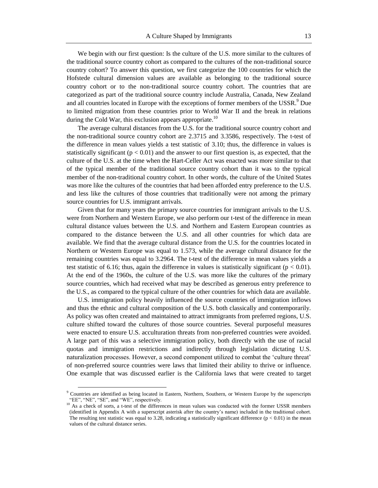We begin with our first question: Is the culture of the U.S. more similar to the cultures of the traditional source country cohort as compared to the cultures of the non-traditional source country cohort? To answer this question, we first categorize the 100 countries for which the Hofstede cultural dimension values are available as belonging to the traditional source country cohort or to the non-traditional source country cohort. The countries that are categorized as part of the traditional source country include Australia, Canada, New Zealand and all countries located in Europe with the exceptions of former members of the USSR.<sup>9</sup> Due to limited migration from these countries prior to World War II and the break in relations during the Cold War, this exclusion appears appropriate.<sup>10</sup>

The average cultural distances from the U.S. for the traditional source country cohort and the non-traditional source country cohort are 2.3715 and 3.3586, respectively. The t-test of the difference in mean values yields a test statistic of 3.10; thus, the difference in values is statistically significant ( $p < 0.01$ ) and the answer to our first question is, as expected, that the culture of the U.S. at the time when the Hart-Celler Act was enacted was more similar to that of the typical member of the traditional source country cohort than it was to the typical member of the non-traditional country cohort. In other words, the culture of the United States was more like the cultures of the countries that had been afforded entry preference to the U.S. and less like the cultures of those countries that traditionally were not among the primary source countries for U.S. immigrant arrivals.

Given that for many years the primary source countries for immigrant arrivals to the U.S. were from Northern and Western Europe, we also perform our t-test of the difference in mean cultural distance values between the U.S. and Northern and Eastern European countries as compared to the distance between the U.S. and all other countries for which data are available. We find that the average cultural distance from the U.S. for the countries located in Northern or Western Europe was equal to 1.573, while the average cultural distance for the remaining countries was equal to 3.2964. The t-test of the difference in mean values yields a test statistic of 6.16; thus, again the difference in values is statistically significant ( $p < 0.01$ ). At the end of the 1960s, the culture of the U.S. was more like the cultures of the primary source countries, which had received what may be described as generous entry preference to the U.S., as compared to the typical culture of the other countries for which data are available.

U.S. immigration policy heavily influenced the source countries of immigration inflows and thus the ethnic and cultural composition of the U.S. both classically and contemporarily. As policy was often created and maintained to attract immigrants from preferred regions, U.S. culture shifted toward the cultures of those source countries. Several purposeful measures were enacted to ensure U.S. acculturation threats from non-preferred countries were avoided. A large part of this was a selective immigration policy, both directly with the use of racial quotas and immigration restrictions and indirectly through legislation dictating U.S. naturalization processes. However, a second component utilized to combat the 'culture threat' of non-preferred source countries were laws that limited their ability to thrive or influence. One example that was discussed earlier is the California laws that were created to target

<sup>&</sup>lt;sup>9</sup> Countries are identified as being located in Eastern, Northern, Southern, or Western Europe by the superscripts "EE", "NE", "SE", and "WE", respectively.

<sup>&</sup>lt;sup>10</sup> As a check of sorts, a t-test of the differences in mean values was conducted with the former USSR members (identified in Appendix A with a superscript asterisk after the country's name) included in the traditional cohort. The resulting test statistic was equal to 3.28, indicating a statistically significant difference  $(p < 0.01)$  in the mean values of the cultural distance series.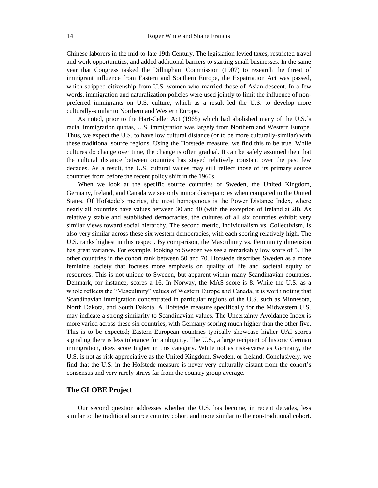Chinese laborers in the mid-to-late 19th Century. The legislation levied taxes, restricted travel and work opportunities, and added additional barriers to starting small businesses. In the same year that Congress tasked the Dillingham Commission (1907) to research the threat of immigrant influence from Eastern and Southern Europe, the Expatriation Act was passed, which stripped citizenship from U.S. women who married those of Asian-descent. In a few words, immigration and naturalization policies were used jointly to limit the influence of nonpreferred immigrants on U.S. culture, which as a result led the U.S. to develop more culturally-similar to Northern and Western Europe.

As noted, prior to the Hart-Celler Act (1965) which had abolished many of the U.S.'s racial immigration quotas, U.S. immigration was largely from Northern and Western Europe. Thus, we expect the U.S. to have low cultural distance (or to be more culturally-similar) with these traditional source regions. Using the Hofstede measure, we find this to be true. While cultures do change over time, the change is often gradual. It can be safely assumed then that the cultural distance between countries has stayed relatively constant over the past few decades. As a result, the U.S. cultural values may still reflect those of its primary source countries from before the recent policy shift in the 1960s.

When we look at the specific source countries of Sweden, the United Kingdom, Germany, Ireland, and Canada we see only minor discrepancies when compared to the United States. Of Hofstede's metrics, the most homogenous is the Power Distance Index, where nearly all countries have values between 30 and 40 (with the exception of Ireland at 28). As relatively stable and established democracies, the cultures of all six countries exhibit very similar views toward social hierarchy. The second metric, Individualism vs. Collectivism, is also very similar across these six western democracies, with each scoring relatively high. The U.S. ranks highest in this respect. By comparison, the Masculinity vs. Femininity dimension has great variance. For example, looking to Sweden we see a remarkably low score of 5. The other countries in the cohort rank between 50 and 70. Hofstede describes Sweden as a more feminine society that focuses more emphasis on quality of life and societal equity of resources. This is not unique to Sweden, but apparent within many Scandinavian countries. Denmark, for instance, scores a 16. In Norway, the MAS score is 8. While the U.S. as a whole reflects the "Masculinity" values of Western Europe and Canada, it is worth noting that Scandinavian immigration concentrated in particular regions of the U.S. such as Minnesota, North Dakota, and South Dakota. A Hofstede measure specifically for the Midwestern U.S. may indicate a strong similarity to Scandinavian values. The Uncertainty Avoidance Index is more varied across these six countries, with Germany scoring much higher than the other five. This is to be expected; Eastern European countries typically showcase higher UAI scores signaling there is less tolerance for ambiguity. The U.S., a large recipient of historic German immigration, does score higher in this category. While not as risk-averse as Germany, the U.S. is not as risk-appreciative as the United Kingdom, Sweden, or Ireland. Conclusively, we find that the U.S. in the Hofstede measure is never very culturally distant from the cohort's consensus and very rarely strays far from the country group average.

#### **The GLOBE Project**

Our second question addresses whether the U.S. has become, in recent decades, less similar to the traditional source country cohort and more similar to the non-traditional cohort.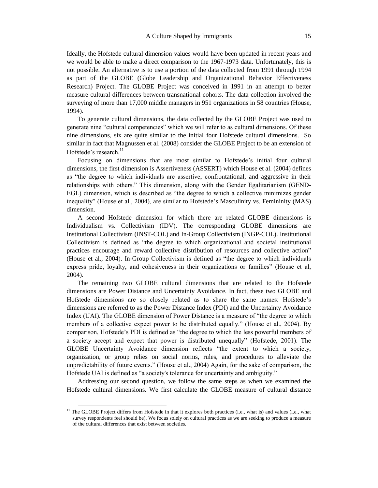Ideally, the Hofstede cultural dimension values would have been updated in recent years and we would be able to make a direct comparison to the 1967-1973 data. Unfortunately, this is not possible. An alternative is to use a portion of the data collected from 1991 through 1994 as part of the GLOBE (Globe Leadership and Organizational Behavior Effectiveness Research) Project. The GLOBE Project was conceived in 1991 in an attempt to better measure cultural differences between transnational cohorts. The data collection involved the surveying of more than 17,000 middle managers in 951 organizations in 58 countries (House, 1994).

To generate cultural dimensions, the data collected by the GLOBE Project was used to generate nine "cultural competencies" which we will refer to as cultural dimensions. Of these nine dimensions, six are quite similar to the initial four Hofstede cultural dimensions. So similar in fact that Magnussen et al. (2008) consider the GLOBE Project to be an extension of Hofstede's research.<sup>11</sup>

Focusing on dimensions that are most similar to Hofstede's initial four cultural dimensions, the first dimension is Assertiveness (ASSERT) which House et al. (2004) defines as "the degree to which individuals are assertive, confrontational, and aggressive in their relationships with others." This dimension, along with the Gender Egalitarianism (GEND-EGL) dimension, which is described as "the degree to which a collective minimizes gender inequality" (House et al., 2004), are similar to Hofstede's Masculinity vs. Femininity (MAS) dimension.

A second Hofstede dimension for which there are related GLOBE dimensions is Individualism vs. Collectivism (IDV). The corresponding GLOBE dimensions are Institutional Collectivism (INST-COL) and In-Group Collectivism (INGP-COL). Institutional Collectivism is defined as "the degree to which organizational and societal institutional practices encourage and reward collective distribution of resources and collective action" (House et al., 2004). In-Group Collectivism is defined as "the degree to which individuals express pride, loyalty, and cohesiveness in their organizations or families" (House et al, 2004).

The remaining two GLOBE cultural dimensions that are related to the Hofstede dimensions are Power Distance and Uncertainty Avoidance. In fact, these two GLOBE and Hofstede dimensions are so closely related as to share the same names: Hofstede's dimensions are referred to as the Power Distance Index (PDI) and the Uncertainty Avoidance Index (UAI). The GLOBE dimension of Power Distance is a measure of "the degree to which members of a collective expect power to be distributed equally." (House et al., 2004). By comparison, Hofstede's PDI is defined as "the degree to which the less powerful members of a society accept and expect that power is distributed unequally" (Hofstede, 2001). The GLOBE Uncertainty Avoidance dimension reflects "the extent to which a society, organization, or group relies on social norms, rules, and procedures to alleviate the unpredictability of future events." (House et al., 2004) Again, for the sake of comparison, the Hofstede UAI is defined as "a society's tolerance for uncertainty and ambiguity."

Addressing our second question, we follow the same steps as when we examined the Hofstede cultural dimensions. We first calculate the GLOBE measure of cultural distance

 $11$  The GLOBE Project differs from Hofstede in that it explores both practices (i.e., what is) and values (i.e., what survey respondents feel should be). We focus solely on cultural practices as we are seeking to produce a measure of the cultural differences that exist between societies.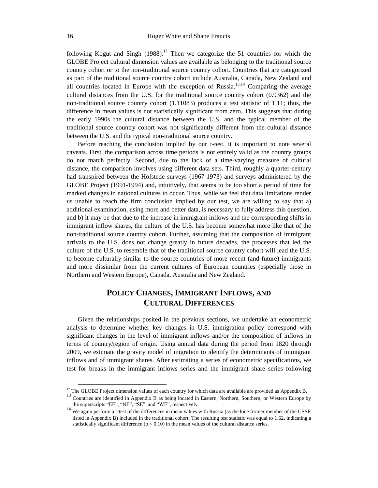following Kogut and Singh  $(1988)$ .<sup>12</sup> Then we categorize the 51 countries for which the GLOBE Project cultural dimension values are available as belonging to the traditional source country cohort or to the non-traditional source country cohort. Countries that are categorized as part of the traditional source country cohort include Australia, Canada, New Zealand and all countries located in Europe with the exception of Russia.<sup>13,14</sup> Comparing the average cultural distances from the U.S. for the traditional source country cohort (0.9362) and the non-traditional source country cohort (1.11083) produces a test statistic of 1.11; thus, the difference in mean values is not statistically significant from zero. This suggests that during the early 1990s the cultural distance between the U.S. and the typical member of the traditional source country cohort was not significantly different from the cultural distance between the U.S. and the typical non-traditional source country.

Before reaching the conclusion implied by our t-test, it is important to note several caveats. First, the comparison across time periods is not entirely valid as the country groups do not match perfectly. Second, due to the lack of a time-varying measure of cultural distance, the comparison involves using different data sets. Third, roughly a quarter-century had transpired between the Hofstede surveys (1967-1973) and surveys administered by the GLOBE Project (1991-1994) and, intuitively, that seems to be too short a period of time for marked changes in national cultures to occur. Thus, while we feel that data limitations render us unable to reach the firm conclusion implied by our test, we are willing to say that a) additional examination, using more and better data, is necessary to fully address this question, and b) it may be that due to the increase in immigrant inflows and the corresponding shifts in immigrant inflow shares, the culture of the U.S. has become somewhat more like that of the non-traditional source country cohort. Further, assuming that the composition of immigrant arrivals to the U.S. does not change greatly in future decades, the processes that led the culture of the U.S. to resemble that of the traditional source country cohort will lead the U.S. to become culturally-similar to the source countries of more recent (and future) immigrants and more dissimilar from the current cultures of European countries (especially those in Northern and Western Europe), Canada, Australia and New Zealand.

# **POLICY CHANGES,IMMIGRANT INFLOWS, AND CULTURAL DIFFERENCES**

Given the relationships posited in the previous sections, we undertake an econometric analysis to determine whether key changes in U.S. immigration policy correspond with significant changes in the level of immigrant inflows and/or the composition of inflows in terms of country/region of origin. Using annual data during the period from 1820 through 2009, we estimate the gravity model of migration to identify the determinants of immigrant inflows and of immigrant shares. After estimating a series of econometric specifications, we test for breaks in the immigrant inflows series and the immigrant share series following

<sup>&</sup>lt;sup>12</sup> The GLOBE Project dimension values of each country for which data are available are provided as Appendix B.

<sup>&</sup>lt;sup>13</sup> Countries are identified in Appendix B as being located in Eastern, Northern, Southern, or Western Europe by the superscripts "EE", "NE", "SE", and "WE", respectively.

<sup>&</sup>lt;sup>14</sup> We again perform a t-test of the differences in mean values with Russia (as the lone former member of the USSR listed in Appendix B) included in the traditional cohort. The resulting test statistic was equal to 1.62, indicating a statistically significant difference  $(p < 0.10)$  in the mean values of the cultural distance series.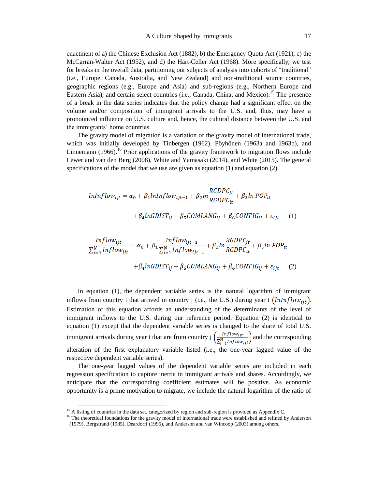enactment of a) the Chinese Exclusion Act (1882), b) the Emergency Quota Act (1921), c) the McCarran-Walter Act (1952), and d) the Hart-Celler Act (1968). More specifically, we test for breaks in the overall data, partitioning our subjects of analysis into cohorts of "traditional" (i.e., Europe, Canada, Australia, and New Zealand) and non-traditional source countries, geographic regions (e.g., Europe and Asia) and sub-regions (e.g., Northern Europe and Eastern Asia), and certain select countries (i.e., Canada, China, and Mexico).<sup>15</sup> The presence of a break in the data series indicates that the policy change had a significant effect on the volume and/or composition of immigrant arrivals to the U.S. and, thus, may have a pronounced influence on U.S. culture and, hence, the cultural distance between the U.S. and the immigrants' home countries.

The gravity model of migration is a variation of the gravity model of international trade, which was initially developed by Tinbergen (1962), Pöyhönen (1963a and 1963b), and Linnemann  $(1966)$ .<sup>16</sup> Prior applications of the gravity framework to migration flows include Lewer and van den Berg (2008), White and Yamasaki (2014), and White (2015). The general specifications of the model that we use are given as equation (1) and equation (2).

$$
lnInflow_{ijt} = \alpha_0 + \beta_1 lnInflow_{ijt-1} + \beta_2 ln \frac{RGDPC_{jt}}{RGDPC_{it}} + \beta_3 ln POP_{it}
$$

$$
+ \beta_4 ln GDIST_{ij} + \beta_5 COMLANG_{ij} + \beta_6 CONTIG_{ij} + \varepsilon_{ijt} \qquad (1)
$$

$$
\frac{Inflow_{ijt}}{\sum_{i=1}^{N} Inflow_{ijt}} = \alpha_0 + \beta_1 \frac{Inflow_{ijt-1}}{\sum_{i=1}^{N} Inflow_{ijt-1}} + \beta_2 ln \frac{RGDPC_{jt}}{RGDPC_{it}} + \beta_3 ln \, POP_{it}
$$

$$
+ \beta_4 ln \, GODIST_{ij} + \beta_5 COMLANG_{ij} + \beta_6 CONTIG_{ij} + \varepsilon_{ijt} \qquad (2)
$$

In equation (1), the dependent variable series is the natural logarithm of immigrant inflows from country i that arrived in country j (i.e., the U.S.) during year t  $(lnInflow_{\text{lit}})$ . Estimation of this equation affords an understanding of the determinants of the level of immigrant inflows to the U.S. during our reference period. Equation (2) is identical to equation (1) except that the dependent variable series is changed to the share of total U.S. immigrant arrivals during year t that are from country  $j\left(\frac{Inflow_{ijt}}{\sum_{i=1}^{N} Inflow_{ijt}}\right)$  and the corresponding alteration of the first explanatory variable listed (i.e., the one-year lagged value of the respective dependent variable series).

The one-year lagged values of the dependent variable series are included in each regression specification to capture inertia in immigrant arrivals and shares. Accordingly, we anticipate that the corresponding coefficient estimates will be positive. As economic opportunity is a prime motivation to migrate, we include the natural logarithm of the ratio of

<sup>&</sup>lt;sup>15</sup> A listing of countries in the data set, categorized by region and sub-region is provided as Appendix C.

<sup>&</sup>lt;sup>16</sup> The theoretical foundations for the gravity model of international trade were established and refined by Anderson (1979), Bergstrand (1985), Deardorff (1995), and Anderson and van Wincoop (2003) among others.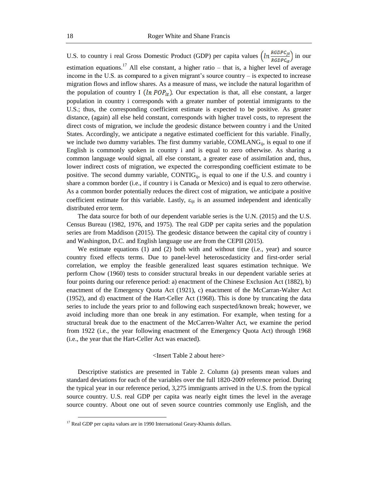U.S. to country i real Gross Domestic Product (GDP) per capita values  $\left(ln \frac{RGDPC_{jt}}{RGDPC_{it}}\right)$  in our estimation equations.<sup>17</sup> All else constant, a higher ratio – that is, a higher level of average income in the U.S. as compared to a given migrant's source country – is expected to increase migration flows and inflow shares. As a measure of mass, we include the natural logarithm of the population of country I  $(ln POP_{it})$ . Our expectation is that, all else constant, a larger population in country i corresponds with a greater number of potential immigrants to the U.S.; thus, the corresponding coefficient estimate is expected to be positive. As greater distance, (again) all else held constant, corresponds with higher travel costs, to represent the direct costs of migration, we include the geodesic distance between country i and the United States. Accordingly, we anticipate a negative estimated coefficient for this variable. Finally, we include two dummy variables. The first dummy variable, COMLANG<sub>ij</sub>, is equal to one if English is commonly spoken in country i and is equal to zero otherwise. As sharing a common language would signal, all else constant, a greater ease of assimilation and, thus, lower indirect costs of migration, we expected the corresponding coefficient estimate to be positive. The second dummy variable,  $CONTIG_{ii}$ , is equal to one if the U.S. and country i share a common border (i.e., if country i is Canada or Mexico) and is equal to zero otherwise. As a common border potentially reduces the direct cost of migration, we anticipate a positive coefficient estimate for this variable. Lastly,  $\varepsilon_{\text{int}}$  is an assumed independent and identically distributed error term.

The data source for both of our dependent variable series is the U.N. (2015) and the U.S. Census Bureau (1982, 1976, and 1975). The real GDP per capita series and the population series are from Maddison (2015). The geodesic distance between the capital city of country i and Washington, D.C. and English language use are from the CEPII (2015).

We estimate equations (1) and (2) both with and without time (i.e., year) and source country fixed effects terms. Due to panel-level heteroscedasticity and first-order serial correlation, we employ the feasible generalized least squares estimation technique. We perform Chow (1960) tests to consider structural breaks in our dependent variable series at four points during our reference period: a) enactment of the Chinese Exclusion Act (1882), b) enactment of the Emergency Quota Act (1921), c) enactment of the McCarran-Walter Act (1952), and d) enactment of the Hart-Celler Act (1968). This is done by truncating the data series to include the years prior to and following each suspected/known break; however, we avoid including more than one break in any estimation. For example, when testing for a structural break due to the enactment of the McCarren-Walter Act, we examine the period from 1922 (i.e., the year following enactment of the Emergency Quota Act) through 1968 (i.e., the year that the Hart-Celler Act was enacted).

#### <Insert Table 2 about here>

Descriptive statistics are presented in Table 2. Column (a) presents mean values and standard deviations for each of the variables over the full 1820-2009 reference period. During the typical year in our reference period, 3,275 immigrants arrived in the U.S. from the typical source country. U.S. real GDP per capita was nearly eight times the level in the average source country. About one out of seven source countries commonly use English, and the

 $\overline{a}$ 

 $17$  Real GDP per capita values are in 1990 International Geary-Khamis dollars.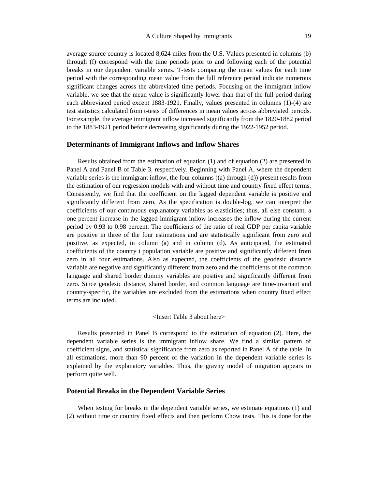average source country is located 8,624 miles from the U.S. Values presented in columns (b) through (f) correspond with the time periods prior to and following each of the potential breaks in our dependent variable series. T-tests comparing the mean values for each time period with the corresponding mean value from the full reference period indicate numerous significant changes across the abbreviated time periods. Focusing on the immigrant inflow variable, we see that the mean value is significantly lower than that of the full period during each abbreviated period except 1883-1921. Finally, values presented in columns (1)-(4) are test statistics calculated from t-tests of differences in mean values across abbreviated periods. For example, the average immigrant inflow increased significantly from the 1820-1882 period to the 1883-1921 period before decreasing significantly during the 1922-1952 period.

#### **Determinants of Immigrant Inflows and Inflow Shares**

Results obtained from the estimation of equation (1) and of equation (2) are presented in Panel A and Panel B of Table 3, respectively. Beginning with Panel A, where the dependent variable series is the immigrant inflow, the four columns ((a) through (d)) present results from the estimation of our regression models with and without time and country fixed effect terms. Consistently, we find that the coefficient on the lagged dependent variable is positive and significantly different from zero. As the specification is double-log, we can interpret the coefficients of our continuous explanatory variables as elasticities; thus, all else constant, a one percent increase in the lagged immigrant inflow increases the inflow during the current period by 0.93 to 0.98 percent. The coefficients of the ratio of real GDP per capita variable are positive in three of the four estimations and are statistically significant from zero and positive, as expected, in column (a) and in column (d). As anticipated, the estimated coefficients of the country i population variable are positive and significantly different from zero in all four estimations. Also as expected, the coefficients of the geodesic distance variable are negative and significantly different from zero and the coefficients of the common language and shared border dummy variables are positive and significantly different from zero. Since geodesic distance, shared border, and common language are time-invariant and country-specific, the variables are excluded from the estimations when country fixed effect terms are included.

#### <Insert Table 3 about here>

Results presented in Panel B correspond to the estimation of equation (2). Here, the dependent variable series is the immigrant inflow share. We find a similar pattern of coefficient signs, and statistical significance from zero as reported in Panel A of the table. In all estimations, more than 90 percent of the variation in the dependent variable series is explained by the explanatory variables. Thus, the gravity model of migration appears to perform quite well.

#### **Potential Breaks in the Dependent Variable Series**

When testing for breaks in the dependent variable series, we estimate equations (1) and (2) without time or country fixed effects and then perform Chow tests. This is done for the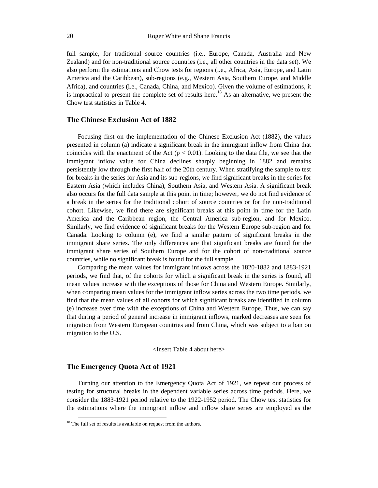full sample, for traditional source countries (i.e., Europe, Canada, Australia and New Zealand) and for non-traditional source countries (i.e., all other countries in the data set). We also perform the estimations and Chow tests for regions (i.e., Africa, Asia, Europe, and Latin America and the Caribbean), sub-regions (e.g., Western Asia, Southern Europe, and Middle Africa), and countries (i.e., Canada, China, and Mexico). Given the volume of estimations, it is impractical to present the complete set of results here.<sup>18</sup> As an alternative, we present the Chow test statistics in Table 4.

#### **The Chinese Exclusion Act of 1882**

Focusing first on the implementation of the Chinese Exclusion Act (1882), the values presented in column (a) indicate a significant break in the immigrant inflow from China that coincides with the enactment of the Act ( $p < 0.01$ ). Looking to the data file, we see that the immigrant inflow value for China declines sharply beginning in 1882 and remains persistently low through the first half of the 20th century. When stratifying the sample to test for breaks in the series for Asia and its sub-regions, we find significant breaks in the series for Eastern Asia (which includes China), Southern Asia, and Western Asia. A significant break also occurs for the full data sample at this point in time; however, we do not find evidence of a break in the series for the traditional cohort of source countries or for the non-traditional cohort. Likewise, we find there are significant breaks at this point in time for the Latin America and the Caribbean region, the Central America sub-region, and for Mexico. Similarly, we find evidence of significant breaks for the Western Europe sub-region and for Canada. Looking to column (e), we find a similar pattern of significant breaks in the immigrant share series. The only differences are that significant breaks are found for the immigrant share series of Southern Europe and for the cohort of non-traditional source countries, while no significant break is found for the full sample.

Comparing the mean values for immigrant inflows across the 1820-1882 and 1883-1921 periods, we find that, of the cohorts for which a significant break in the series is found, all mean values increase with the exceptions of those for China and Western Europe. Similarly, when comparing mean values for the immigrant inflow series across the two time periods, we find that the mean values of all cohorts for which significant breaks are identified in column (e) increase over time with the exceptions of China and Western Europe. Thus, we can say that during a period of general increase in immigrant inflows, marked decreases are seen for migration from Western European countries and from China, which was subject to a ban on migration to the U.S.

<Insert Table 4 about here>

#### **The Emergency Quota Act of 1921**

 $\overline{a}$ 

Turning our attention to the Emergency Quota Act of 1921, we repeat our process of testing for structural breaks in the dependent variable series across time periods. Here, we consider the 1883-1921 period relative to the 1922-1952 period. The Chow test statistics for the estimations where the immigrant inflow and inflow share series are employed as the

 $18$ <sup>18</sup> The full set of results is available on request from the authors.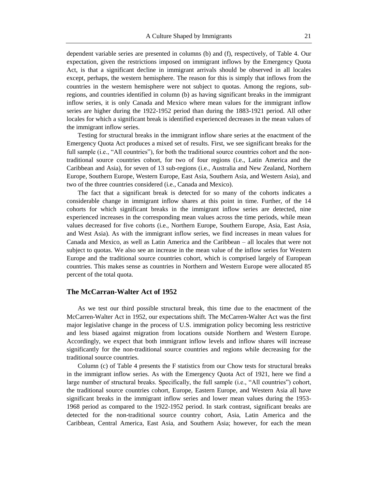dependent variable series are presented in columns (b) and (f), respectively, of Table 4. Our expectation, given the restrictions imposed on immigrant inflows by the Emergency Quota Act, is that a significant decline in immigrant arrivals should be observed in all locales except, perhaps, the western hemisphere. The reason for this is simply that inflows from the countries in the western hemisphere were not subject to quotas. Among the regions, subregions, and countries identified in column (b) as having significant breaks in the immigrant inflow series, it is only Canada and Mexico where mean values for the immigrant inflow series are higher during the 1922-1952 period than during the 1883-1921 period. All other locales for which a significant break is identified experienced decreases in the mean values of the immigrant inflow series.

Testing for structural breaks in the immigrant inflow share series at the enactment of the Emergency Quota Act produces a mixed set of results. First, we see significant breaks for the full sample (i.e., "All countries"), for both the traditional source countries cohort and the nontraditional source countries cohort, for two of four regions (i.e., Latin America and the Caribbean and Asia), for seven of 13 sub-regions (i.e., Australia and New Zealand, Northern Europe, Southern Europe, Western Europe, East Asia, Southern Asia, and Western Asia), and two of the three countries considered (i.e., Canada and Mexico).

The fact that a significant break is detected for so many of the cohorts indicates a considerable change in immigrant inflow shares at this point in time. Further, of the 14 cohorts for which significant breaks in the immigrant inflow series are detected, nine experienced increases in the corresponding mean values across the time periods, while mean values decreased for five cohorts (i.e., Northern Europe, Southern Europe, Asia, East Asia, and West Asia). As with the immigrant inflow series, we find increases in mean values for Canada and Mexico, as well as Latin America and the Caribbean – all locales that were not subject to quotas. We also see an increase in the mean value of the inflow series for Western Europe and the traditional source countries cohort, which is comprised largely of European countries. This makes sense as countries in Northern and Western Europe were allocated 85 percent of the total quota.

#### **The McCarran-Walter Act of 1952**

As we test our third possible structural break, this time due to the enactment of the McCarren-Walter Act in 1952, our expectations shift. The McCarren-Walter Act was the first major legislative change in the process of U.S. immigration policy becoming less restrictive and less biased against migration from locations outside Northern and Western Europe. Accordingly, we expect that both immigrant inflow levels and inflow shares will increase significantly for the non-traditional source countries and regions while decreasing for the traditional source countries.

Column (c) of Table 4 presents the F statistics from our Chow tests for structural breaks in the immigrant inflow series. As with the Emergency Quota Act of 1921, here we find a large number of structural breaks. Specifically, the full sample (i.e., "All countries") cohort, the traditional source countries cohort, Europe, Eastern Europe, and Western Asia all have significant breaks in the immigrant inflow series and lower mean values during the 1953- 1968 period as compared to the 1922-1952 period. In stark contrast, significant breaks are detected for the non-traditional source country cohort, Asia, Latin America and the Caribbean, Central America, East Asia, and Southern Asia; however, for each the mean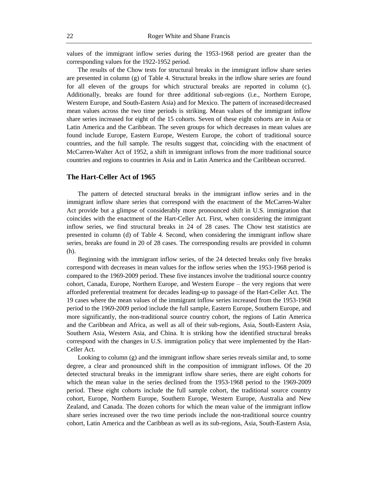values of the immigrant inflow series during the 1953-1968 period are greater than the corresponding values for the 1922-1952 period.

The results of the Chow tests for structural breaks in the immigrant inflow share series are presented in column (g) of Table 4. Structural breaks in the inflow share series are found for all eleven of the groups for which structural breaks are reported in column (c). Additionally, breaks are found for three additional sub-regions (i.e., Northern Europe, Western Europe, and South-Eastern Asia) and for Mexico. The pattern of increased/decreased mean values across the two time periods is striking. Mean values of the immigrant inflow share series increased for eight of the 15 cohorts. Seven of these eight cohorts are in Asia or Latin America and the Caribbean. The seven groups for which decreases in mean values are found include Europe, Eastern Europe, Western Europe, the cohort of traditional source countries, and the full sample. The results suggest that, coinciding with the enactment of McCarren-Walter Act of 1952, a shift in immigrant inflows from the more traditional source countries and regions to countries in Asia and in Latin America and the Caribbean occurred.

#### **The Hart-Celler Act of 1965**

The pattern of detected structural breaks in the immigrant inflow series and in the immigrant inflow share series that correspond with the enactment of the McCarren-Walter Act provide but a glimpse of considerably more pronounced shift in U.S. immigration that coincides with the enactment of the Hart-Celler Act. First, when considering the immigrant inflow series, we find structural breaks in 24 of 28 cases. The Chow test statistics are presented in column (d) of Table 4. Second, when considering the immigrant inflow share series, breaks are found in 20 of 28 cases. The corresponding results are provided in column (h).

Beginning with the immigrant inflow series, of the 24 detected breaks only five breaks correspond with decreases in mean values for the inflow series when the 1953-1968 period is compared to the 1969-2009 period. These five instances involve the traditional source country cohort, Canada, Europe, Northern Europe, and Western Europe – the very regions that were afforded preferential treatment for decades leading-up to passage of the Hart-Celler Act. The 19 cases where the mean values of the immigrant inflow series increased from the 1953-1968 period to the 1969-2009 period include the full sample, Eastern Europe, Southern Europe, and more significantly, the non-traditional source country cohort, the regions of Latin America and the Caribbean and Africa, as well as all of their sub-regions, Asia, South-Eastern Asia, Southern Asia, Western Asia, and China. It is striking how the identified structural breaks correspond with the changes in U.S. immigration policy that were implemented by the Hart-Celler Act.

Looking to column (g) and the immigrant inflow share series reveals similar and, to some degree, a clear and pronounced shift in the composition of immigrant inflows. Of the 20 detected structural breaks in the immigrant inflow share series, there are eight cohorts for which the mean value in the series declined from the 1953-1968 period to the 1969-2009 period. These eight cohorts include the full sample cohort, the traditional source country cohort, Europe, Northern Europe, Southern Europe, Western Europe, Australia and New Zealand, and Canada. The dozen cohorts for which the mean value of the immigrant inflow share series increased over the two time periods include the non-traditional source country cohort, Latin America and the Caribbean as well as its sub-regions, Asia, South-Eastern Asia,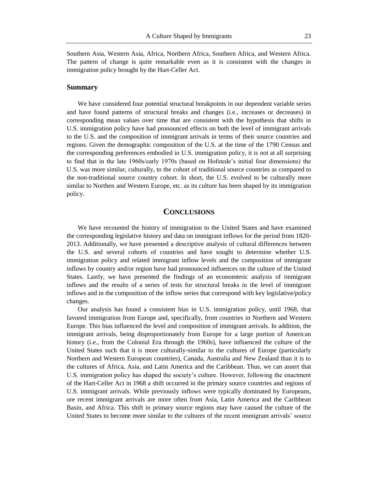Southern Asia, Western Asia, Africa, Northern Africa, Southern Africa, and Western Africa. The pattern of change is quite remarkable even as it is consistent with the changes in immigration policy brought by the Hart-Celler Act.

#### **Summary**

We have considered four potential structural breakpoints in our dependent variable series and have found patterns of structural breaks and changes (i.e., increases or decreases) in corresponding mean values over time that are consistent with the hypothesis that shifts in U.S. immigration policy have had pronounced effects on both the level of immigrant arrivals to the U.S. and the composition of immigrant arrivals in terms of their source countries and regions. Given the demographic composition of the U.S. at the time of the 1790 Census and the corresponding preferences embodied in U.S. immigration policy, it is not at all surprising to find that in the late 1960s/early 1970s (based on Hofstede's initial four dimensions) the U.S. was more similar, culturally, to the cohort of traditional source countries as compared to the non-traditional source country cohort. In short, the U.S. evolved to be culturally more similar to Northen and Western Europe, etc. as its culture has been shaped by its immigration policy.

#### **CONCLUSIONS**

We have recounted the history of immigration to the United States and have examined the corresponding legislative history and data on immigrant inflows for the period from 1820- 2013. Additionally, we have presented a descriptive analysis of cultural differences between the U.S. and several cohorts of countries and have sought to determine whether U.S. immigration policy and related immigrant inflow levels and the composition of immigrant inflows by country and/or region have had pronounced influences on the culture of the United States. Lastly, we have presented the findings of an economteric analysis of immigrant inflows and the results of a series of tests for structural breaks in the level of immigrant inflows and in the composition of the inflow series that correspond with key legislative/policy changes.

Our analysis has found a consistent bias in U.S. immigration policy, until 1968, that favored immigration from Europe and, specifically, from countries in Northern and Western Europe. This bias influenced the level and composition of immigrant arrivals. In addition, the immigrant arrivals, being disproportionately from Europe for a large portion of American history (i.e., from the Colonial Era through the 1960s), have influenced the culture of the United States such that it is more culturally-similar to the cultures of Europe (particularly Northern and Western European countries), Canada, Australia and New Zealand than it is to the cultures of Africa, Asia, and Latin America and the Caribbean. Thus, we can assert that U.S. immigration policy has shaped the society's culture. However, following the enactment of the Hart-Celler Act in 1968 a shift occurred in the primary source countries and regions of U.S. immigrant arrivals. While previously inflows were typically dominated by Europeans, ore recent immigrant arrivals are more often from Asia, Latin America and the Caribbean Basin, and Africa. This shift in primary source regions may have caused the culture of the United States to become more similar to the cultures of the recent immigrant arrivals' source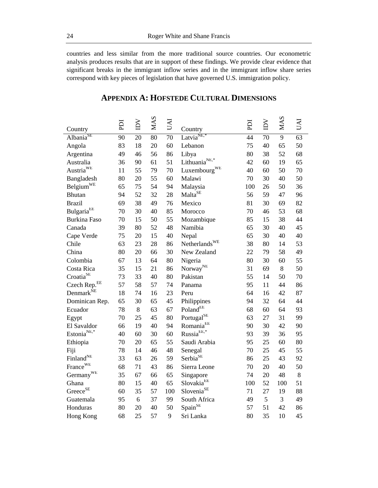countries and less similar from the more traditional source countries. Our econometric analysis produces results that are in support of these findings. We provide clear evidence that significant breaks in the immigrant inflow series and in the immigrant inflow share series correspond with key pieces of legislation that have governed U.S. immigration policy.

| Country                                  | EQ | $\sum_{i=1}^{n}$ | MAS | <b>IND</b> | Country                                 | ICI | $\sum$ | <b>MAS</b>     | <b>IND</b>      |
|------------------------------------------|----|------------------|-----|------------|-----------------------------------------|-----|--------|----------------|-----------------|
| Albania <sup>SE</sup>                    | 90 | 20               | 80  | 70         | Latvia <sup>NE,*</sup>                  | 44  | 70     | $\overline{9}$ | $\overline{63}$ |
| Angola                                   | 83 | 18               | 20  | 60         | Lebanon                                 | 75  | 40     | 65             | 50              |
| Argentina                                | 49 | 46               | 56  | 86         | Libya                                   | 80  | 38     | 52             | 68              |
| Australia                                | 36 | 90               | 61  | 51         | Lithuania <sup>NE,*</sup>               | 42  | 60     | 19             | 65              |
| $\mathrm{Austria}^{\mathrm{WE}}$         | 11 | 55               | 79  | 70         | Luxembourg <sup>WE</sup>                | 40  | 60     | 50             | 70              |
| Bangladesh                               | 80 | 20               | 55  | 60         | Malawi                                  | 70  | 30     | 40             | 50              |
| Belgium <sup>WE</sup>                    | 65 | 75               | 54  | 94         | Malaysia                                | 100 | 26     | 50             | 36              |
| <b>Bhutan</b>                            | 94 | 52               | 32  | 28         | Malta <sup>SE</sup>                     | 56  | 59     | 47             | 96              |
| <b>Brazil</b>                            | 69 | 38               | 49  | 76         | Mexico                                  | 81  | 30     | 69             | 82              |
| $\text{Bulgaria}^{\text{EE}}$            | 70 | 30               | 40  | 85         | Morocco                                 | 70  | 46     | 53             | 68              |
| <b>Burkina Faso</b>                      | 70 | 15               | 50  | 55         | Mozambique                              | 85  | 15     | 38             | 44              |
| Canada                                   | 39 | 80               | 52  | 48         | Namibia                                 | 65  | 30     | 40             | 45              |
| Cape Verde                               | 75 | 20               | 15  | 40         | Nepal                                   | 65  | 30     | 40             | 40              |
| Chile                                    | 63 | 23               | 28  | 86         | Netherlands $WE$                        | 38  | 80     | 14             | 53              |
| China                                    | 80 | 20               | 66  | 30         | New Zealand                             | 22  | 79     | 58             | 49              |
| Colombia                                 | 67 | 13               | 64  | 80         | Nigeria                                 | 80  | 30     | 60             | 55              |
| Costa Rica                               | 35 | 15               | 21  | 86         | $\mbox{Norway}^{\mbox{\scriptsize NE}}$ | 31  | 69     | $8\,$          | 50              |
| $\mbox{Croatia}^{\mbox{\scriptsize SE}}$ | 73 | 33               | 40  | 80         | Pakistan                                | 55  | 14     | 50             | 70              |
| Czech Rep. <sup>EE</sup>                 | 57 | 58               | 57  | 74         | Panama                                  | 95  | 11     | 44             | 86              |
| Denmark <sup>NE</sup>                    | 18 | 74               | 16  | 23         | Peru                                    | 64  | 16     | 42             | 87              |
| Dominican Rep.                           | 65 | 30               | 65  | 45         | Philippines                             | 94  | 32     | 64             | 44              |
| Ecuador                                  | 78 | $8\,$            | 63  | 67         | PolandEE                                | 68  | 60     | 64             | 93              |
| Egypt                                    | 70 | 25               | 45  | 80         | Portugal <sup>SE</sup>                  | 63  | 27     | 31             | 99              |
| El Savaldor                              | 66 | 19               | 40  | 94         | $Romania^{EE}$                          | 90  | 30     | 42             | 90              |
| Estonia $^{NE,*}$                        | 40 | 60               | 30  | 60         | $\mathrm{Russia}^{\mathrm{EE},*}$       | 93  | 39     | 36             | 95              |
| Ethiopia                                 | 70 | 20               | 65  | 55         | Saudi Arabia                            | 95  | 25     | 60             | 80              |
| Fiji                                     | 78 | 14               | 46  | 48         | Senegal                                 | 70  | 25     | 45             | 55              |
| Finland <sup>NE</sup>                    | 33 | 63               | 26  | 59         | Serbia <sup>SE</sup>                    | 86  | 25     | 43             | 92              |
| France <sup>WE</sup>                     | 68 | 71               | 43  | 86         | Sierra Leone                            | 70  | 20     | 40             | 50              |
| Germany <sup>WE</sup>                    | 35 | 67               | 66  | 65         | Singapore                               | 74  | 20     | 48             | $\,8\,$         |
| Ghana                                    | 80 | 15               | 40  | 65         | Slovakia <sup>EE</sup>                  | 100 | 52     | 100            | 51              |
| $Greeze^{SE}$                            | 60 | 35               | 57  | 100        | Slovenia <sup>SE</sup>                  | 71  | 27     | 19             | 88              |
| Guatemala                                | 95 | 6                | 37  | 99         | South Africa                            | 49  | 5      | 3              | 49              |
| Honduras                                 | 80 | 20               | 40  | 50         | $\mathbf{S}\mathrm{pain}^{\mathrm{SE}}$ | 57  | 51     | 42             | 86              |
| Hong Kong                                | 68 | 25               | 57  | 9          | Sri Lanka                               | 80  | 35     | 10             | 45              |

# **APPENDIX A: HOFSTEDE CULTURAL DIMENSIONS**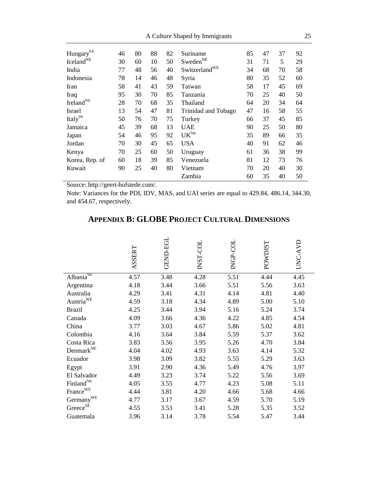| 25<br>A Culture Shaped by Immigrants         |    |    |    |    |                                 |    |    |    |    |
|----------------------------------------------|----|----|----|----|---------------------------------|----|----|----|----|
| HungaryEE                                    | 46 | 80 | 88 | 82 | Suriname                        | 85 | 47 | 37 | 92 |
| Iceland <sup>NE</sup>                        | 30 | 60 | 10 | 50 | $\mathbf{Sweden}^{\mathbf{NE}}$ | 31 | 71 | 5  | 29 |
| India                                        | 77 | 48 | 56 | 40 | Switzerland <sup>WE</sup>       | 34 | 68 | 70 | 58 |
| Indonesia                                    | 78 | 14 | 46 | 48 | Syria                           | 80 | 35 | 52 | 60 |
| Iran                                         | 58 | 41 | 43 | 59 | Taiwan                          | 58 | 17 | 45 | 69 |
| Iraq                                         | 95 | 30 | 70 | 85 | Tanzania                        | 70 | 25 | 40 | 50 |
| $\operatorname{Ireland}^{\operatorname{NE}}$ | 28 | 70 | 68 | 35 | Thailand                        | 64 | 20 | 34 | 64 |
| Israel                                       | 13 | 54 | 47 | 81 | Trinidad and Tobago             | 47 | 16 | 58 | 55 |
| Italy <sup>SE</sup>                          | 50 | 76 | 70 | 75 | Turkey                          | 66 | 37 | 45 | 85 |
| Jamaica                                      | 45 | 39 | 68 | 13 | <b>UAE</b>                      | 90 | 25 | 50 | 80 |
| Japan                                        | 54 | 46 | 95 | 92 | UK <sub>NE</sub>                | 35 | 89 | 66 | 35 |
| Jordan                                       | 70 | 30 | 45 | 65 | <b>USA</b>                      | 40 | 91 | 62 | 46 |
| Kenya                                        | 70 | 25 | 60 | 50 | Uruguay                         | 61 | 36 | 38 | 99 |
| Korea, Rep. of                               | 60 | 18 | 39 | 85 | Venezuela                       | 81 | 12 | 73 | 76 |
| Kuwait                                       | 90 | 25 | 40 | 80 | Vietnam                         | 70 | 20 | 40 | 30 |
|                                              |    |    |    |    | Zambia                          | 60 | 35 | 40 | 50 |

Source: http://geert-hofstede.com/.

Note: Variances for the PDI, IDV, MAS, and UAI series are equal to 429.84, 486.14, 344.30, and 454.67, respectively.

|                                              | ASSERT | <b>GEND-EGL</b> | INST-COL | <b>INGP-COL</b> | POWDIST | UNC-AVE |
|----------------------------------------------|--------|-----------------|----------|-----------------|---------|---------|
| Albania <sup>SE</sup>                        | 4.57   | 3.48            | 4.28     | 5.51            | 4.44    | 4.45    |
| Argentina                                    | 4.18   | 3.44            | 3.66     | 5.51            | 5.56    | 3.63    |
| Australia                                    | 4.29   | 3.41            | 4.31     | 4.14            | 4.81    | 4.40    |
| $\operatorname{Austria}^{\text{WE}}$         | 4.59   | 3.18            | 4.34     | 4.89            | 5.00    | 5.10    |
| <b>Brazil</b>                                | 4.25   | 3.44            | 3.94     | 5.16            | 5.24    | 3.74    |
| Canada                                       | 4.09   | 3.66            | 4.36     | 4.22            | 4.85    | 4.54    |
| China                                        | 3.77   | 3.03            | 4.67     | 5.86            | 5.02    | 4.81    |
| Colombia                                     | 4.16   | 3.64            | 3.84     | 5.59            | 5.37    | 3.62    |
| Costa Rica                                   | 3.83   | 3.56            | 3.95     | 5.26            | 4.70    | 3.84    |
| $\mathrm{Denmark}^{\mathrm{NE}}$             | 4.04   | 4.02            | 4.93     | 3.63            | 4.14    | 5.32    |
| Ecuador                                      | 3.98   | 3.09            | 3.82     | 5.55            | 5.29    | 3.63    |
| Egypt                                        | 3.91   | 2.90            | 4.36     | 5.49            | 4.76    | 3.97    |
| El Salvador                                  | 4.49   | 3.23            | 3.74     | 5.22            | 5.56    | 3.69    |
| $\operatorname{Finland}^{\operatorname{NE}}$ | 4.05   | 3.55            | 4.77     | 4.23            | 5.08    | 5.11    |
| France <sup>WE</sup>                         | 4.44   | 3.81            | 4.20     | 4.66            | 5.68    | 4.66    |
| Germany <sup>WE</sup>                        | 4.77   | 3.17            | 3.67     | 4.59            | 5.70    | 5.19    |
| Greece <sup>SE</sup>                         | 4.55   | 3.53            | 3.41     | 5.28            | 5.35    | 3.52    |
| Guatemala                                    | 3.96   | 3.14            | 3.78     | 5.54            | 5.47    | 3.44    |

# **APPENDIX B: GLOBE PROJECT CULTURAL DIMENSIONS**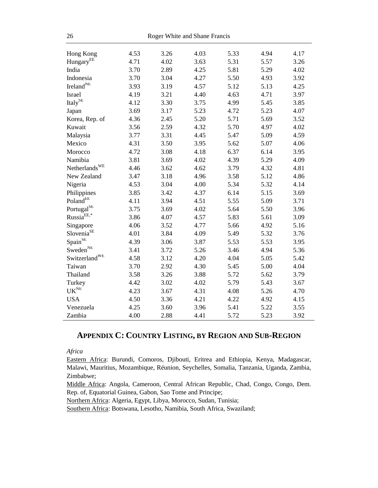| 26                                |      |      | Roger White and Shane Francis |      |      |      |
|-----------------------------------|------|------|-------------------------------|------|------|------|
| Hong Kong                         | 4.53 | 3.26 | 4.03                          | 5.33 | 4.94 | 4.17 |
| Hungary <sup>EE</sup>             | 4.71 | 4.02 | 3.63                          | 5.31 | 5.57 | 3.26 |
| India                             | 3.70 | 2.89 | 4.25                          | 5.81 | 5.29 | 4.02 |
| Indonesia                         | 3.70 | 3.04 | 4.27                          | 5.50 | 4.93 | 3.92 |
| Ireland <sup>NE</sup>             | 3.93 | 3.19 | 4.57                          | 5.12 | 5.13 | 4.25 |
| <b>Israel</b>                     | 4.19 | 3.21 | 4.40                          | 4.63 | 4.71 | 3.97 |
| Italy <sup>SE</sup>               | 4.12 | 3.30 | 3.75                          | 4.99 | 5.45 | 3.85 |
| Japan                             | 3.69 | 3.17 | 5.23                          | 4.72 | 5.23 | 4.07 |
| Korea, Rep. of                    | 4.36 | 2.45 | 5.20                          | 5.71 | 5.69 | 3.52 |
| Kuwait                            | 3.56 | 2.59 | 4.32                          | 5.70 | 4.97 | 4.02 |
| Malaysia                          | 3.77 | 3.31 | 4.45                          | 5.47 | 5.09 | 4.59 |
| Mexico                            | 4.31 | 3.50 | 3.95                          | 5.62 | 5.07 | 4.06 |
| Morocco                           | 4.72 | 3.08 | 4.18                          | 6.37 | 6.14 | 3.95 |
| Namibia                           | 3.81 | 3.69 | 4.02                          | 4.39 | 5.29 | 4.09 |
| Netherlands <sup>WE</sup>         | 4.46 | 3.62 | 4.62                          | 3.79 | 4.32 | 4.81 |
| New Zealand                       | 3.47 | 3.18 | 4.96                          | 3.58 | 5.12 | 4.86 |
| Nigeria                           | 4.53 | 3.04 | 4.00                          | 5.34 | 5.32 | 4.14 |
| Philippines                       | 3.85 | 3.42 | 4.37                          | 6.14 | 5.15 | 3.69 |
| $\mbox{Poland}^{\rm EE}$          | 4.11 | 3.94 | 4.51                          | 5.55 | 5.09 | 3.71 |
| Portugal <sup>SE</sup>            | 3.75 | 3.69 | 4.02                          | 5.64 | 5.50 | 3.96 |
| $\mathrm{Russia}^{\mathrm{EE},*}$ | 3.86 | 4.07 | 4.57                          | 5.83 | 5.61 | 3.09 |
| Singapore                         | 4.06 | 3.52 | 4.77                          | 5.66 | 4.92 | 5.16 |
| Slovenia <sup>SE</sup>            | 4.01 | 3.84 | 4.09                          | 5.49 | 5.32 | 3.76 |
| Span <sup>SE</sup>                | 4.39 | 3.06 | 3.87                          | 5.53 | 5.53 | 3.95 |
| Sweden <sup>NE</sup>              | 3.41 | 3.72 | 5.26                          | 3.46 | 4.94 | 5.36 |
| Switzerland <sup>WE</sup>         | 4.58 | 3.12 | 4.20                          | 4.04 | 5.05 | 5.42 |
| Taiwan                            | 3.70 | 2.92 | 4.30                          | 5.45 | 5.00 | 4.04 |
| Thailand                          | 3.58 | 3.26 | 3.88                          | 5.72 | 5.62 | 3.79 |
| Turkey                            | 4.42 | 3.02 | 4.02                          | 5.79 | 5.43 | 3.67 |
| $\mathbf{UK}^{\mathrm{NE}}$       | 4.23 | 3.67 | 4.31                          | 4.08 | 5.26 | 4.70 |
| <b>USA</b>                        | 4.50 | 3.36 | 4.21                          | 4.22 | 4.92 | 4.15 |
| Venezuela                         | 4.25 | 3.60 | 3.96                          | 5.41 | 5.22 | 3.55 |
| Zambia                            | 4.00 | 2.88 | 4.41                          | 5.72 | 5.23 | 3.92 |

# **APPENDIX C: COUNTRY LISTING, BY REGION AND SUB-REGION**

*Africa*

Eastern Africa: Burundi, Comoros, Djibouti, Eritrea and Ethiopia, Kenya, Madagascar, Malawi, Mauritius, Mozambique, Réunion, Seychelles, Somalia, Tanzania, Uganda, Zambia, Zimbabwe;

Middle Africa: Angola, Cameroon, Central African Republic, Chad, Congo, Congo, Dem. Rep. of, Equatorial Guinea, Gabon, Sao Tome and Principe;

Northern Africa: Algeria, Egypt, Libya, Morocco, Sudan, Tunisia;

Southern Africa: Botswana, Lesotho, Namibia, South Africa, Swaziland;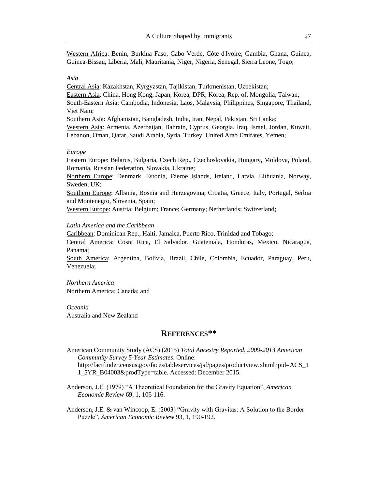Western Africa: Benin, Burkina Faso, Cabo Verde, Côte d'Ivoire, Gambia, Ghana, Guinea, Guinea-Bissau, Liberia, Mali, Mauritania, Niger, Nigeria, Senegal, Sierra Leone, Togo;

#### *Asia*

Central Asia: Kazakhstan, Kyrgyzstan, Tajikistan, Turkmenistan, Uzbekistan; Eastern Asia: China, Hong Kong, Japan, Korea, DPR, Korea, Rep. of, Mongolia, Taiwan; South-Eastern Asia: Cambodia, Indonesia, Laos, Malaysia, Philippines, Singapore, Thailand, Viet Nam; Southern Asia: Afghanistan, Bangladesh, India, Iran, Nepal, Pakistan, Sri Lanka; Western Asia: Armenia, Azerbaijan, Bahrain, Cyprus, Georgia, Iraq, Israel, Jordan, Kuwait, Lebanon, Oman, Qatar, Saudi Arabia, Syria, Turkey, United Arab Emirates, Yemen;

#### *Europe*

Eastern Europe: Belarus, Bulgaria, Czech Rep., Czechoslovakia, Hungary, Moldova, Poland, Romania, Russian Federation, Slovakia, Ukraine;

Northern Europe: Denmark, Estonia, Faeroe Islands, Ireland, Latvia, Lithuania, Norway, Sweden, UK;

Southern Europe: Albania, Bosnia and Herzegovina, Croatia, Greece, Italy, Portugal, Serbia and Montenegro, Slovenia, Spain;

Western Europe: Austria; Belgium; France; Germany; Netherlands; Switzerland;

#### *Latin America and the Caribbean*

Caribbean: Dominican Rep., Haiti, Jamaica, Puerto Rico, Trinidad and Tobago;

Central America: Costa Rica, El Salvador, Guatemala, Honduras, Mexico, Nicaragua, Panama;

South America: Argentina, Bolivia, Brazil, Chile, Colombia, Ecuador, Paraguay, Peru, Venezuela;

*Northern America* Northern America: Canada; and

*Oceania*  Australia and New Zealand

# **REFERENCES\*\***

American Community Study (ACS) (2015) *Total Ancestry Reported, 2009-2013 American Community Survey 5-Year Estimates*. Online: http://factfinder.census.gov/faces/tableservices/jsf/pages/productview.xhtml?pid=ACS\_1 1\_5YR\_B04003&prodType=table. Accessed: December 2015.

Anderson, J.E. (1979) "A Theoretical Foundation for the Gravity Equation", *American Economic Review* 69, 1, 106-116.

Anderson, J.E. & van Wincoop, E. (2003) "Gravity with Gravitas: A Solution to the Border Puzzle", *American Economic Review* 93, 1, 190-192.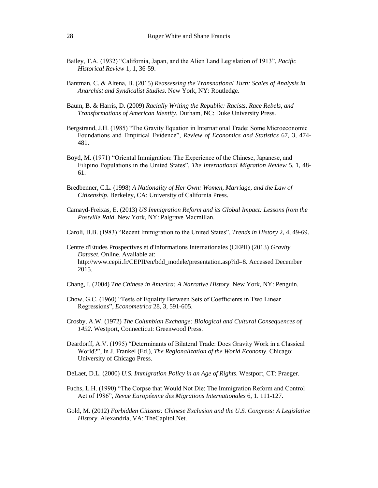- Bailey, T.A. (1932) "California, Japan, and the Alien Land Legislation of 1913", *Pacific Historical Review* 1, 1, 36-59.
- Bantman, C. & Altena, B. (2015) *Reassessing the Transnational Turn: Scales of Analysis in Anarchist and Syndicalist Studies*. New York, NY: Routledge.
- Baum, B. & Harris, D. (2009) *Racially Writing the Republic: Racists, Race Rebels, and Transformations of American Identity*. Durham, NC: Duke University Press.
- Bergstrand, J.H. (1985) "The Gravity Equation in International Trade: Some Microeconomic Foundations and Empirical Evidence", *Review of Economics and Statistics* 67, 3, 474- 481.
- Boyd, M. (1971) "Oriental Immigration: The Experience of the Chinese, Japanese, and Filipino Populations in the United States", *The International Migration Review* 5, 1, 48- 61.
- Bredbenner, C.L. (1998) *A Nationality of Her Own: Women, Marriage, and the Law of Citizenship*. Berkeley, CA: University of California Press.
- Camayd-Freixas, E. (2013) *US Immigration Reform and its Global Impact: Lessons from the Postville Raid*. New York, NY: Palgrave Macmillan.
- Caroli, B.B. (1983) "Recent Immigration to the United States", *Trends in History* 2, 4, 49-69.
- Centre d'Etudes Prospectives et d'Informations Internationales (CEPII) (2013) *Gravity Dataset*. Online. Available at: http://www.cepii.fr/CEPII/en/bdd\_modele/presentation.asp?id=8. Accessed December 2015.
- Chang, I. (2004) *The Chinese in America: A Narrative History*. New York, NY: Penguin.
- Chow, G.C. (1960) "Tests of Equality Between Sets of Coefficients in Two Linear Regressions", *Econometrica* 28, 3, 591-605.
- Crosby, A.W. (1972) *The Columbian Exchange: Biological and Cultural Consequences of 1492*. Westport, Connecticut: Greenwood Press.
- Deardorff, A.V. (1995) "Determinants of Bilateral Trade: Does Gravity Work in a Classical World?", In J. Frankel (Ed.), *The Regionalization of the World Economy*. Chicago: University of Chicago Press.
- DeLaet, D.L. (2000) *U.S. Immigration Policy in an Age of Rights*. Westport, CT: Praeger.
- Fuchs, L.H. (1990) "The Corpse that Would Not Die: The Immigration Reform and Control Act of 1986", *Revue Européenne des Migrations Internationales* 6, 1. 111-127.
- Gold, M. (2012) *Forbidden Citizens: Chinese Exclusion and the U.S. Congress: A Legislative History*. Alexandria, VA: TheCapitol.Net.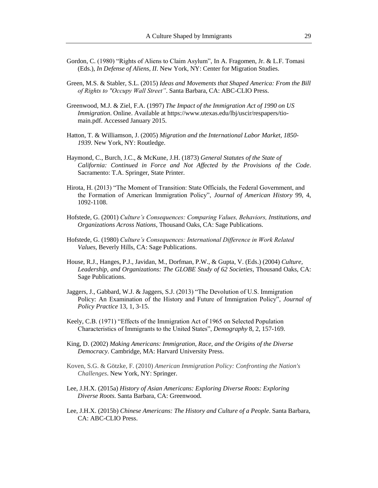- Gordon, C. (1980) "Rights of Aliens to Claim Asylum", In A. Fragomen, Jr. & L.F. Tomasi (Eds.), *In Defense of Aliens, II*. New York, NY: Center for Migration Studies.
- Green, M.S. & Stabler, S.L. (2015) *Ideas and Movements that Shaped America: From the Bill of Rights to "Occupy Wall Street"*. Santa Barbara, CA: ABC-CLIO Press.
- Greenwood, M.J. & Ziel, F.A. (1997) *The Impact of the Immigration Act of 1990 on US Immigration*. Online. Available at https://www.utexas.edu/lbj/uscir/respapers/tiomain.pdf. Accessed January 2015.
- Hatton, T. & Williamson, J. (2005) *Migration and the International Labor Market, 1850- 1939*. New York, NY: Routledge.
- Haymond, C., Burch, J.C., & McKune, J.H. (1873) *General Statutes of the State of California: Continued in Force and Not Affected by the Provisions of the Code*. Sacramento: T.A. Springer, State Printer.
- Hirota, H. (2013) "The Moment of Transition: State Officials, the Federal Government, and the Formation of American Immigration Policy", *Journal of American History* 99, 4, 1092-1108.
- Hofstede, G. (2001) *Culture's Consequences: Comparing Values, Behaviors, Institutions, and Organizations Across Nations*, Thousand Oaks, CA: Sage Publications.
- Hofstede, G. (1980) *Culture's Consequences: International Difference in Work Related Values*, Beverly Hills, CA: Sage Publications.
- House, R.J., Hanges, P.J., Javidan, M., Dorfman, P.W., & Gupta, V. (Eds.) (2004) *Culture, Leadership, and Organizations: The GLOBE Study of 62 Societies*, Thousand Oaks, CA: Sage Publications.
- Jaggers, J., Gabbard, W.J. & Jaggers, S.J. (2013) "The Devolution of U.S. Immigration Policy: An Examination of the History and Future of Immigration Policy", *Journal of Policy Practice* 13, 1, 3-15.
- Keely, C.B. (1971) "Effects of the Immigration Act of 1965 on Selected Population Characteristics of Immigrants to the United States", *Demography* 8, 2, 157-169.
- King, D. (2002) *Making Americans: Immigration, Race, and the Origins of the Diverse Democracy*. Cambridge, MA: Harvard University Press.
- Koven, S.G. & Götzke, F. (2010) *American Immigration Policy: Confronting the Nation's Challenges*. New York, NY: Springer.
- Lee, J.H.X. (2015a) *History of Asian Americans: Exploring Diverse Roots: Exploring Diverse Roots*. Santa Barbara, CA: Greenwood.
- Lee, J.H.X. (2015b) *Chinese Americans: The History and Culture of a People*. Santa Barbara, CA: ABC-CLIO Press.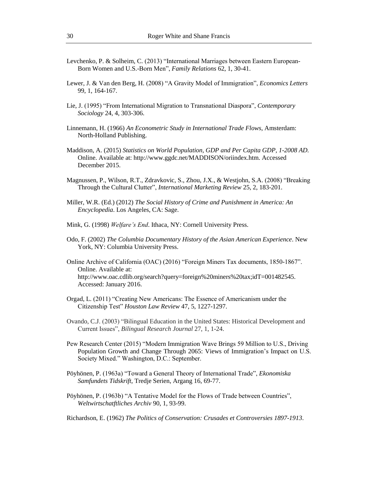- Levchenko, P. & Solheim, C. (2013) "International Marriages between Eastern European-Born Women and U.S.-Born Men", *Family Relations* 62, 1, 30-41.
- Lewer, J. & Van den Berg, H. (2008) "A Gravity Model of Immigration", *Economics Letters* 99, 1, 164-167.
- Lie, J. (1995) "From International Migration to Transnational Diaspora", *Contemporary Sociology* 24, 4, 303-306.
- Linnemann, H. (1966) *An Econometric Study in International Trade Flows*, Amsterdam: North-Holland Publishing.
- Maddison, A. (2015) *Statistics on World Population, GDP and Per Capita GDP, 1-2008 AD.*  Online. Available at: http://www.ggdc.net/MADDISON/oriindex.htm. Accessed December 2015.
- Magnussen, P., Wilson, R.T., Zdravkovic, S., Zhou, J.X., & Westjohn, S.A. (2008) "Breaking Through the Cultural Clutter", *International Marketing Review* 25, 2, 183-201.
- Miller, W.R. (Ed.) (2012) *The Social History of Crime and Punishment in America: An Encyclopedia*. Los Angeles, CA: Sage.
- Mink, G. (1998) *Welfare's End*. Ithaca, NY: Cornell University Press.
- Odo, F. (2002) *The Columbia Documentary History of the Asian American Experience*. New York, NY: Columbia University Press.
- Online Archive of California (OAC) (2016) "Foreign Miners Tax documents, 1850-1867". Online. Available at: http://www.oac.cdlib.org/search?query=foreign%20miners%20tax;idT=001482545. Accessed: January 2016.
- Orgad, L. (2011) "Creating New Americans: The Essence of Americanism under the Citizenship Test" *Houston Law Review* 47, 5, 1227-1297.
- Ovando, C.J. (2003) "Bilingual Education in the United States: Historical Development and Current Issues", *Bilingual Research Journal* 27, 1, 1-24.
- Pew Research Center (2015) "Modern Immigration Wave Brings 59 Million to U.S., Driving Population Growth and Change Through 2065: Views of Immigration's Impact on U.S. Society Mixed." Washington, D.C.: September.
- Pöyhönen, P. (1963a) "Toward a General Theory of International Trade", *Ekonomiska Samfundets Tidskrift*, Tredje Serien, Argang 16, 69-77.
- Pöyhönen, P. (1963b) "A Tentative Model for the Flows of Trade between Countries", *Weltwirtschatftliches Archiv* 90, 1, 93-99.

Richardson, E. (1962) *The Politics of Conservation: Crusades et Controversies 1897-1913*.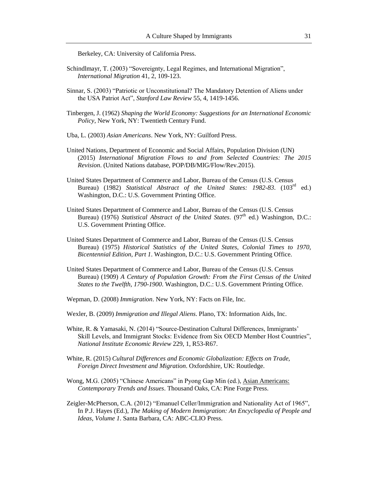Berkeley, CA: University of California Press.

- Schindlmayr, T. (2003) "Sovereignty, Legal Regimes, and International Migration", *International Migration* 41, 2, 109-123.
- Sinnar, S. (2003) "Patriotic or Unconstitutional? The Mandatory Detention of Aliens under the USA Patriot Act", *Stanford Law Review* 55, 4, 1419-1456.
- Tinbergen, J. (1962) *Shaping the World Economy: Suggestions for an International Economic Policy*, New York, NY: Twentieth Century Fund.
- Uba, L. (2003) *Asian Americans*. New York, NY: Guilford Press.
- United Nations, Department of Economic and Social Affairs, Population Division (UN) (2015) *International Migration Flows to and from Selected Countries: The 2015 Revision*. (United Nations database, POP/DB/MIG/Flow/Rev.2015).
- United States Department of Commerce and Labor, Bureau of the Census (U.S. Census Bureau) (1982) *Statistical Abstract of the United States: 1982-83*. (103<sup>rd</sup> ed.) Washington, D.C.: U.S. Government Printing Office.
- United States Department of Commerce and Labor, Bureau of the Census (U.S. Census Bureau) (1976) *Statistical Abstract of the United States*. (97<sup>th</sup> ed.) Washington, D.C.: U.S. Government Printing Office.
- United States Department of Commerce and Labor, Bureau of the Census (U.S. Census Bureau) (1975) *Historical Statistics of the United States, Colonial Times to 1970, Bicentennial Edition, Part 1*. Washington, D.C.: U.S. Government Printing Office.
- United States Department of Commerce and Labor, Bureau of the Census (U.S. Census Bureau) (1909) *A Century of Population Growth: From the First Census of the United States to the Twelfth, 1790-1900*. Washington, D.C.: U.S. Government Printing Office.
- Wepman, D. (2008) *Immigration*. New York, NY: Facts on File, Inc.
- Wexler, B. (2009) *Immigration and Illegal Aliens*. Plano, TX: Information Aids, Inc.
- White, R. & Yamasaki, N. (2014) "Source-Destination Cultural Differences, Immigrants' Skill Levels, and Immigrant Stocks: Evidence from Six OECD Member Host Countries", *National Institute Economic Review* 229, 1, R53-R67.
- White, R. (2015) *Cultural Differences and Economic Globalization: Effects on Trade, Foreign Direct Investment and Migration*. Oxfordshire, UK: Routledge.
- Wong, M.G. (2005) "Chinese Americans" in Pyong Gap Min (ed.), Asian Americans: *Contemporary Trends and Issues*. Thousand Oaks, CA: Pine Forge Press.
- Zeigler-McPherson, C.A. (2012) "Emanuel Celler/Immigration and Nationality Act of 1965", In P.J. Hayes (Ed.), *The Making of Modern Immigration: An Encyclopedia of People and Ideas, Volume 1*. Santa Barbara, CA: ABC-CLIO Press.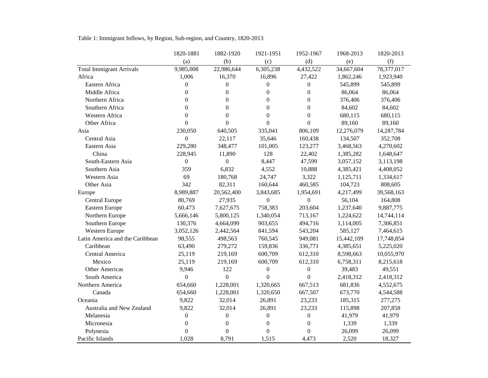|                                 | 1820-1881        | 1882-1920        | 1921-1951        | 1952-1967        | 1968-2013  | 1820-2013  |
|---------------------------------|------------------|------------------|------------------|------------------|------------|------------|
|                                 | (a)              | (b)              | (c)              | (d)              | (e)        | (f)        |
| <b>Total Immigrant Arrivals</b> | 9,985,008        | 22,986,644       | 6,305,238        | 4,432,522        | 34,667,604 | 78,377,017 |
| Africa                          | 1,006            | 16,370           | 16,896           | 27,422           | 1,862,246  | 1,923,940  |
| Eastern Africa                  | $\boldsymbol{0}$ | $\boldsymbol{0}$ | 0                | $\boldsymbol{0}$ | 545,899    | 545,899    |
| Middle Africa                   | $\overline{0}$   | $\mathbf{0}$     | $\overline{0}$   | $\overline{0}$   | 86,064     | 86,064     |
| Northern Africa                 | $\overline{0}$   | $\theta$         | $\overline{0}$   | $\boldsymbol{0}$ | 376,406    | 376,406    |
| Southern Africa                 | $\theta$         | $\theta$         | $\boldsymbol{0}$ | $\boldsymbol{0}$ | 84,602     | 84,602     |
| Western Africa                  | $\boldsymbol{0}$ | $\theta$         | $\overline{0}$   | $\boldsymbol{0}$ | 680,115    | 680,115    |
| Other Africa                    | $\boldsymbol{0}$ | $\theta$         | $\overline{0}$   | $\boldsymbol{0}$ | 89,160     | 89,160     |
| Asia                            | 230,050          | 640,505          | 335,041          | 806,109          | 12,276,079 | 14,287,784 |
| Central Asia                    | $\boldsymbol{0}$ | 22,117           | 35,646           | 160,438          | 134,507    | 352,708    |
| Eastern Asia                    | 229,280          | 348,477          | 101,005          | 123,277          | 3,468,563  | 4,270,602  |
| China                           | 228,945          | 11,890           | 128              | 22,402           | 1,385,282  | 1,648,647  |
| South-Eastern Asia              | $\boldsymbol{0}$ | $\mathbf{0}$     | 8,447            | 47,599           | 3,057,152  | 3,113,198  |
| Southern Asia                   | 359              | 6,832            | 4,552            | 10,888           | 4,385,421  | 4,408,052  |
| Western Asia                    | 69               | 180,768          | 24,747           | 3,322            | 1,125,711  | 1,334,617  |
| Other Asia                      | 342              | 82,311           | 160,644          | 460,585          | 104,723    | 808,605    |
| Europe                          | 8,989,887        | 20,562,400       | 3,843,685        | 1,954,691        | 4,217,499  | 39,568,163 |
| Central Europe                  | 80,769           | 27,935           | $\boldsymbol{0}$ | $\boldsymbol{0}$ | 56,104     | 164,808    |
| Eastern Europe                  | 60,473           | 7,627,675        | 758,383          | 203,604          | 1,237,640  | 9,887,775  |
| Northern Europe                 | 5,666,146        | 5,800,125        | 1,340,054        | 713,167          | 1,224,622  | 14,744,114 |
| Southern Europe                 | 130,376          | 4,664,099        | 903,655          | 494,716          | 1,114,005  | 7,306,851  |
| Western Europe                  | 3,052,126        | 2,442,564        | 841,594          | 543,204          | 585,127    | 7,464,615  |
| Latin America and the Caribbean | 98,555           | 498,563          | 760,545          | 949,081          | 15,442,109 | 17,748,854 |
| Caribbean                       | 63,490           | 279,272          | 159,836          | 336,771          | 4,385,651  | 5,225,020  |
| Central America                 | 25,119           | 219,169          | 600,709          | 612,310          | 8,598,663  | 10,055,970 |
| Mexico                          | 25,119           | 219,169          | 600,709          | 612,310          | 6,758,311  | 8,215,618  |
| <b>Other Americas</b>           | 9,946            | 122              | $\boldsymbol{0}$ | $\boldsymbol{0}$ | 39,483     | 49,551     |
| South America                   | $\boldsymbol{0}$ | $\boldsymbol{0}$ | $\Omega$         | $\boldsymbol{0}$ | 2,418,312  | 2,418,312  |
| Northern America                | 654,660          | 1,228,001        | 1,320,665        | 667,513          | 681,836    | 4,552,675  |
| Canada                          | 654,660          | 1,228,001        | 1,320,650        | 667,507          | 673,770    | 4,544,588  |
| Oceania                         | 9,822            | 32,014           | 26,891           | 23,233           | 185,315    | 277,275    |
| Australia and New Zealand       | 9,822            | 32,014           | 26,891           | 23,233           | 115,898    | 207,858    |
| Melanesia                       | $\overline{0}$   | $\mathbf{0}$     | $\overline{0}$   | $\boldsymbol{0}$ | 41,979     | 41,979     |
| Micronesia                      | $\theta$         | $\overline{0}$   | $\theta$         | $\mathbf{0}$     | 1,339      | 1,339      |
| Polynesia                       | $\overline{0}$   | $\mathbf{0}$     | $\boldsymbol{0}$ | $\boldsymbol{0}$ | 26,099     | 26,099     |
| Pacific Islands                 | 1,028            | 8,791            | 1,515            | 4,473            | 2,520      | 18,327     |

Table 1: Immigrant Inflows, by Region, Sub-region, and Country, 1820-2013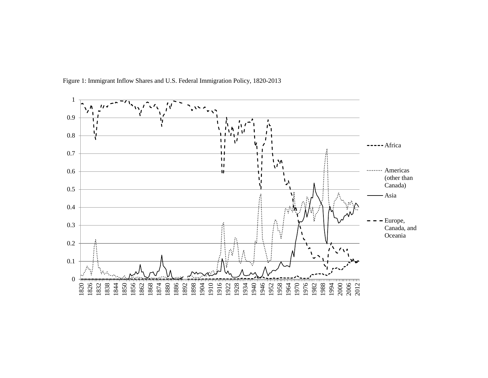

Figure 1: Immigrant Inflow Shares and U.S. Federal Immigration Policy, 1820-2013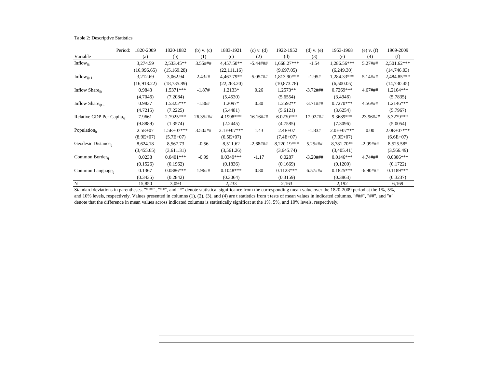| Table 2: Descriptive Statistics |  |
|---------------------------------|--|
|---------------------------------|--|

| Period:                               | 1820-2009   | 1820-1882    | $(b)$ v. $(c)$ | 1883-1921    | $(c)$ v. $(d)$ | 1922-1952    | $(d)$ v. $(e)$ | 1953-1968    | (e) v. $(f)$ | 1969-2009    |
|---------------------------------------|-------------|--------------|----------------|--------------|----------------|--------------|----------------|--------------|--------------|--------------|
| Variable                              | (a)         | (b)          | (1)            | (c)          | (2)            | (d)          | (3)            | (e)          | (4)          | (f)          |
| Inflow <sub>iit</sub>                 | 3,274.59    | 2,533.45**   | 3.55###        | 4,457.50**   | $-5.44$ ###    | 1,668.27***  | $-1.54$        | 1,286.56***  | 5.27###      | 2,501.62***  |
|                                       | (16,996.65) | (15, 169.28) |                | (22, 111.16) |                | (9,697.05)   |                | (6,249.30)   |              | (14,746.03)  |
| Inflow $_{ijt-1}$                     | 3,212.69    | 3,062.94     | 2.43##         | 4,467.79**   | $-5.05$ ###    | 1,813.90***  | $-1.95#$       | 1,284.33***  | 5.14###      | 2,484.85***  |
|                                       | (16,918.22) | (18, 735.89) |                | (22, 263.20) |                | (10, 873.78) |                | (6,500.05)   |              | (14,730.45)  |
| Inflow Share <sub>iit</sub>           | 0.9843      | $1.5371***$  | $-1.87#$       | $1.2133*$    | 0.26           | 1.2573**     | $-3.72$ ###    | $0.7269***$  | 4.67###      | $1.2164***$  |
|                                       | (4.7046)    | (7.2084)     |                | (5.4530)     |                | (5.6554)     |                | (3.4946)     |              | (5.7835)     |
| Inflow Share $_{\text{i}t-1}$         | 0.9837      | $1.5325***$  | $-1.86#$       | 1.2097*      | 0.30           | 1.2592**     | $-3.71$ ###    | $0.7270***$  | 4.56###      | $1.2146***$  |
|                                       | (4.7215)    | (7.2225)     |                | (5.4481)     |                | (5.6121)     |                | (3.6254)     |              | (5.7967)     |
| Relative GDP Per Capita <sub>it</sub> | 7.9661      | 2.7925***    | 26.35###       | 4.1998***    | 16.16###       | $6.0230***$  | 17.92###       | 9.3689***    | $-23.96$ ### | 5.3279***    |
|                                       | (9.8889)    | (1.3574)     |                | (2.2445)     |                | (4.7585)     |                | (7.3096)     |              | (5.0054)     |
| Population $_{it}$                    | $2.5E+07$   | 1.5E+07***   | 3.50###        | $2.1E+07***$ | 1.43           | $2.4E + 07$  | $-1.83#$       | $2.0E+07***$ | 0.00         | $2.0E+07***$ |
|                                       | $(8.9E+07)$ | $(5.7E+07)$  |                | $(6.5E+07)$  |                | $(7.4E+07)$  |                | $(7.0E+07)$  |              | $(6.6E+07)$  |
| Geodesic Distance.                    | 8,624.18    | 8,567.73     | $-0.56$        | 8,511.62     | $-2.68$ ###    | 8,220.19***  | 5.25###        | 8,781.70**   | $-2.99$ ###  | 8,525.58*    |
|                                       | (3,455.65)  | (3,611.31)   |                | (3,561.26)   |                | (3,645.74)   |                | (3,405.41)   |              | (3,566.49)   |
| Common Border <sub>ii</sub>           | 0.0238      | $0.0401***$  | $-0.99$        | $0.0349***$  | $-1.17$        | 0.0287       | $-3.20$ ###    | $0.0146***$  | 4.74###      | $0.0306***$  |
|                                       | (0.1526)    | (0.1962)     |                | (0.1836)     |                | (0.1669)     |                | (0.1200)     |              | (0.1722)     |
| Common Language <sub>ii</sub>         | 0.1367      | $0.0886***$  | 1.96##         | $0.1048***$  | 0.80           | $0.1123***$  | 6.57###        | $0.1825***$  | $-6.90$ ###  | $0.1189***$  |
|                                       | (0.3435)    | (0.2842)     |                | (0.3064)     |                | (0.3159)     |                | (0.3863)     |              | (0.3237)     |
| N                                     | 15,850      | 3,093        |                | 2,233        |                | 2,163        |                | 2,192        |              | 6,169        |

Standard deviations in parentheses. "\*\*\*", "\*\*", and "\*" denote statistical significance from the corresponding mean value over the 1820-2009 period at the 1%, 5%, and 10% levels, respectively. Values presented in columns (1), (2), (3), and (4) are t statistics from t tests of mean values in indicated columns. "###", "##", and "#" denote that the difference in mean values across indicated columns is statistically significat at the 1%, 5%, and 10% levels, respectively.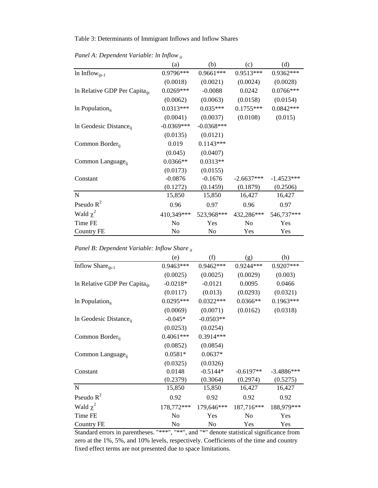#### Table 3: Determinants of Immigrant Inflows and Inflow Shares

|                                           | (a)            | (b)          | (c)          | (d)          |
|-------------------------------------------|----------------|--------------|--------------|--------------|
| In Inflow $_{i t-1}$                      | 0.9796***      | $0.9661***$  | 0.9513***    | $0.9362***$  |
|                                           | (0.0018)       | (0.0021)     | (0.0024)     | (0.0028)     |
| In Relative GDP Per Capita <sub>iit</sub> | $0.0269***$    | $-0.0088$    | 0.0242       | $0.0766***$  |
|                                           | (0.0062)       | (0.0063)     | (0.0158)     | (0.0154)     |
| In Population $_{it}$                     | $0.0313***$    | $0.035***$   | $0.1755***$  | $0.0842***$  |
|                                           | (0.0041)       | (0.0037)     | (0.0108)     | (0.015)      |
| In Geodesic Distance <sub>ii</sub>        | $-0.0369***$   | $-0.0368***$ |              |              |
|                                           | (0.0135)       | (0.0121)     |              |              |
| Common Border <sub>ii</sub>               | 0.019          | $0.1143***$  |              |              |
|                                           | (0.045)        | (0.0407)     |              |              |
| Common Language <sub>ii</sub>             | $0.0366**$     | $0.0313**$   |              |              |
|                                           | (0.0173)       | (0.0155)     |              |              |
| Constant                                  | $-0.0876$      | $-0.1676$    | $-2.6637***$ | $-1.4523***$ |
|                                           | (0.1272)       | (0.1459)     | (0.1879)     | (0.2506)     |
| $\mathbf N$                               | 15,850         | 15,850       | 16,427       | 16,427       |
| Pseudo $R^2$                              | 0.96           | 0.97         | 0.96         | 0.97         |
| Wald $\chi^2$                             | 410,349***     | 523,968***   | 432,286***   | 546,737***   |
| Time FE                                   | N <sub>o</sub> | Yes          | No.          | Yes          |
| <b>Country FE</b>                         | No             | No           | Yes          | Yes          |

*Panel A: Dependent Variable: ln Inflow it*

*Panel B: Dependent Variable: Inflow Share it*

|                                           | (e)            | (f)         | (g)            | (h)          |
|-------------------------------------------|----------------|-------------|----------------|--------------|
| Inflow Share <sub>ijt-1</sub>             | $0.9463***$    | $0.9462***$ | 0.9244***      | 0.9207***    |
|                                           | (0.0025)       | (0.0025)    | (0.0029)       | (0.003)      |
| In Relative GDP Per Capita <sub>iit</sub> | $-0.0218*$     | $-0.0121$   | 0.0095         | 0.0466       |
|                                           | (0.0117)       | (0.013)     | (0.0293)       | (0.0321)     |
| In Population $_{it}$                     | $0.0295***$    | $0.0322***$ | $0.0366**$     | $0.1963***$  |
|                                           | (0.0069)       | (0.0071)    | (0.0162)       | (0.0318)     |
| In Geodesic Distance <sub>ii</sub>        | $-0.045*$      | $-0.0503**$ |                |              |
|                                           | (0.0253)       | (0.0254)    |                |              |
| Common Border <sub>ii</sub>               | $0.4061***$    | 0.3914***   |                |              |
|                                           | (0.0852)       | (0.0854)    |                |              |
| Common Language <sub>ii</sub>             | $0.0581*$      | $0.0637*$   |                |              |
|                                           | (0.0325)       | (0.0326)    |                |              |
| Constant                                  | 0.0148         | $-0.5144*$  | $-0.6197**$    | $-3.4886***$ |
|                                           | (0.2379)       | (0.3064)    | (0.2974)       | (0.5275)     |
| N                                         | 15,850         | 15,850      | 16,427         | 16,427       |
| Pseudo $R^2$                              | 0.92           | 0.92        | 0.92           | 0.92         |
| Wald $\chi^2$                             | 178,772***     | 179,646***  | 187,716***     | 188,979 ***  |
| Time FE                                   | N <sub>0</sub> | <b>Yes</b>  | N <sub>0</sub> | <b>Yes</b>   |
| <b>Country FE</b>                         | No             | No          | Yes            | Yes          |

Standard errors in parentheses. "\*\*\*", "\*\*", and "\*" denote statistical significance from zero at the 1%, 5%, and 10% levels, respectively. Coefficients of the time and country fixed effect terms are not presented due to space limitations.